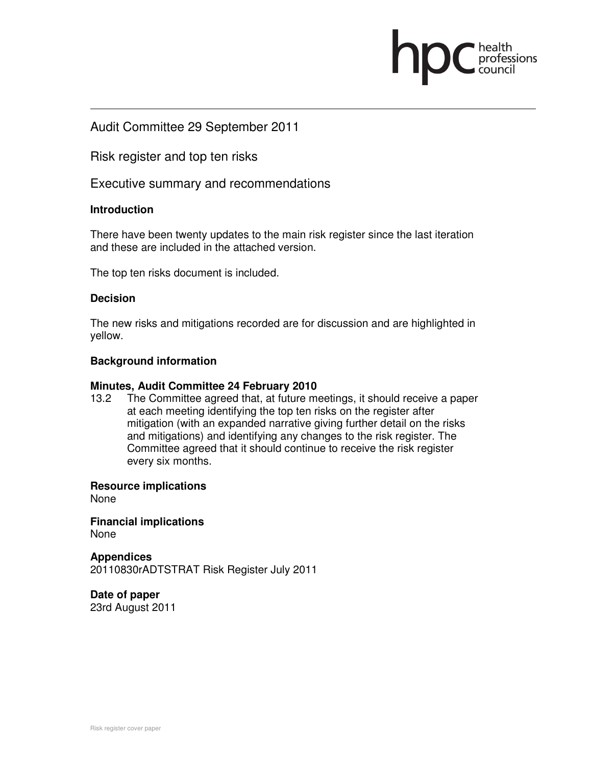# Audit Committee 29 September 2011

Risk register and top ten risks

Executive summary and recommendations

# **Introduction**

There have been twenty updates to the main risk register since the last iteration and these are included in the attached version.

professions

The top ten risks document is included.

# **Decision**

The new risks and mitigations recorded are for discussion and are highlighted in yellow.

# **Background information**

## **Minutes, Audit Committee 24 February 2010**

13.2 The Committee agreed that, at future meetings, it should receive a paper at each meeting identifying the top ten risks on the register after mitigation (with an expanded narrative giving further detail on the risks and mitigations) and identifying any changes to the risk register. The Committee agreed that it should continue to receive the risk register every six months.

## **Resource implications**

None

**Financial implications**  None

**Appendices**  20110830rADTSTRAT Risk Register July 2011

**Date of paper**  23rd August 2011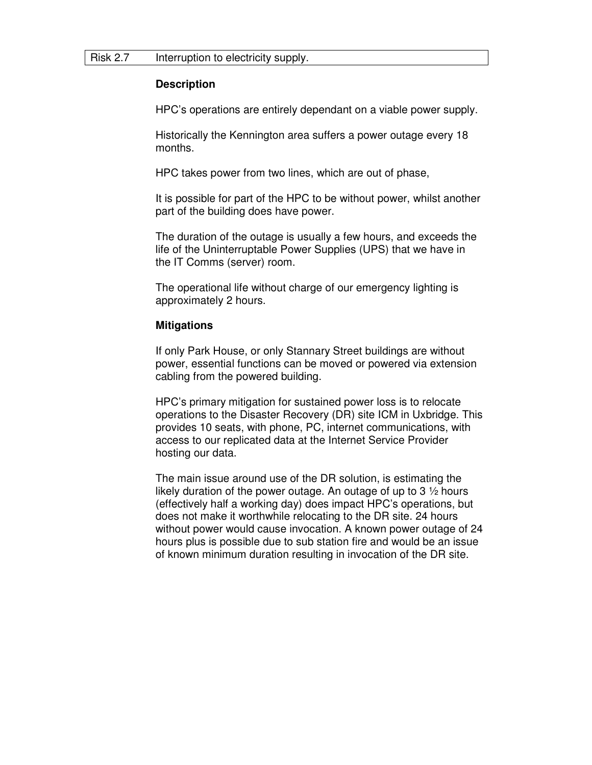## **Description**

HPC's operations are entirely dependant on a viable power supply.

Historically the Kennington area suffers a power outage every 18 months.

HPC takes power from two lines, which are out of phase,

It is possible for part of the HPC to be without power, whilst another part of the building does have power.

The duration of the outage is usually a few hours, and exceeds the life of the Uninterruptable Power Supplies (UPS) that we have in the IT Comms (server) room.

The operational life without charge of our emergency lighting is approximately 2 hours.

## **Mitigations**

If only Park House, or only Stannary Street buildings are without power, essential functions can be moved or powered via extension cabling from the powered building.

HPC's primary mitigation for sustained power loss is to relocate operations to the Disaster Recovery (DR) site ICM in Uxbridge. This provides 10 seats, with phone, PC, internet communications, with access to our replicated data at the Internet Service Provider hosting our data.

The main issue around use of the DR solution, is estimating the likely duration of the power outage. An outage of up to  $3\frac{1}{2}$  hours (effectively half a working day) does impact HPC's operations, but does not make it worthwhile relocating to the DR site. 24 hours without power would cause invocation. A known power outage of 24 hours plus is possible due to sub station fire and would be an issue of known minimum duration resulting in invocation of the DR site.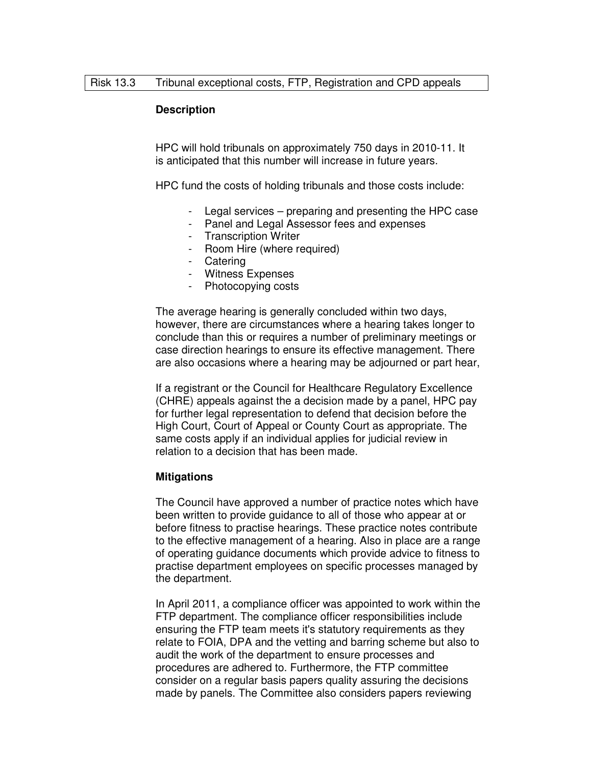## **Description**

HPC will hold tribunals on approximately 750 days in 2010-11. It is anticipated that this number will increase in future years.

HPC fund the costs of holding tribunals and those costs include:

- Legal services preparing and presenting the HPC case
- Panel and Legal Assessor fees and expenses
- Transcription Writer
- Room Hire (where required)
- Catering
- Witness Expenses
- Photocopying costs

The average hearing is generally concluded within two days, however, there are circumstances where a hearing takes longer to conclude than this or requires a number of preliminary meetings or case direction hearings to ensure its effective management. There are also occasions where a hearing may be adjourned or part hear,

If a registrant or the Council for Healthcare Regulatory Excellence (CHRE) appeals against the a decision made by a panel, HPC pay for further legal representation to defend that decision before the High Court, Court of Appeal or County Court as appropriate. The same costs apply if an individual applies for judicial review in relation to a decision that has been made.

# **Mitigations**

The Council have approved a number of practice notes which have been written to provide guidance to all of those who appear at or before fitness to practise hearings. These practice notes contribute to the effective management of a hearing. Also in place are a range of operating guidance documents which provide advice to fitness to practise department employees on specific processes managed by the department.

In April 2011, a compliance officer was appointed to work within the FTP department. The compliance officer responsibilities include ensuring the FTP team meets it's statutory requirements as they relate to FOIA, DPA and the vetting and barring scheme but also to audit the work of the department to ensure processes and procedures are adhered to. Furthermore, the FTP committee consider on a regular basis papers quality assuring the decisions made by panels. The Committee also considers papers reviewing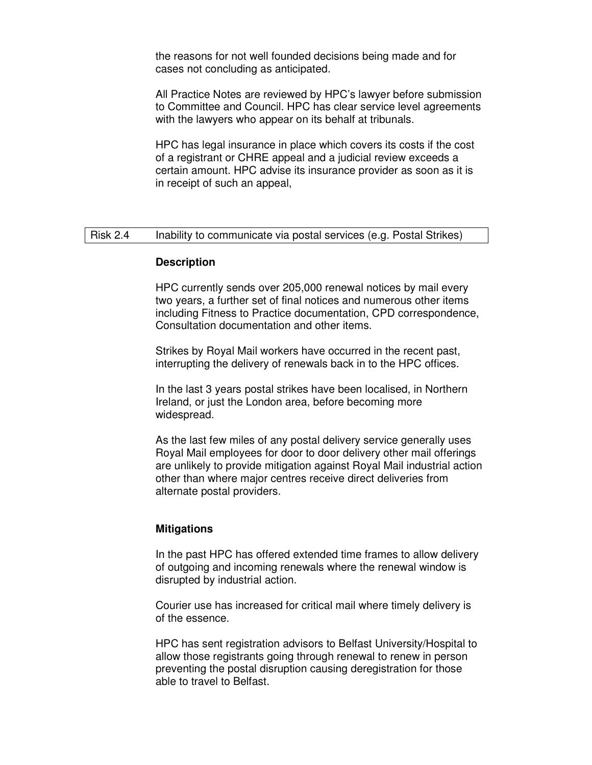the reasons for not well founded decisions being made and for cases not concluding as anticipated.

All Practice Notes are reviewed by HPC's lawyer before submission to Committee and Council. HPC has clear service level agreements with the lawyers who appear on its behalf at tribunals.

HPC has legal insurance in place which covers its costs if the cost of a registrant or CHRE appeal and a judicial review exceeds a certain amount. HPC advise its insurance provider as soon as it is in receipt of such an appeal,

# Risk 2.4 Inability to communicate via postal services (e.g. Postal Strikes)

## **Description**

HPC currently sends over 205,000 renewal notices by mail every two years, a further set of final notices and numerous other items including Fitness to Practice documentation, CPD correspondence, Consultation documentation and other items.

Strikes by Royal Mail workers have occurred in the recent past, interrupting the delivery of renewals back in to the HPC offices.

In the last 3 years postal strikes have been localised, in Northern Ireland, or just the London area, before becoming more widespread.

As the last few miles of any postal delivery service generally uses Royal Mail employees for door to door delivery other mail offerings are unlikely to provide mitigation against Royal Mail industrial action other than where major centres receive direct deliveries from alternate postal providers.

## **Mitigations**

In the past HPC has offered extended time frames to allow delivery of outgoing and incoming renewals where the renewal window is disrupted by industrial action.

Courier use has increased for critical mail where timely delivery is of the essence.

HPC has sent registration advisors to Belfast University/Hospital to allow those registrants going through renewal to renew in person preventing the postal disruption causing deregistration for those able to travel to Belfast.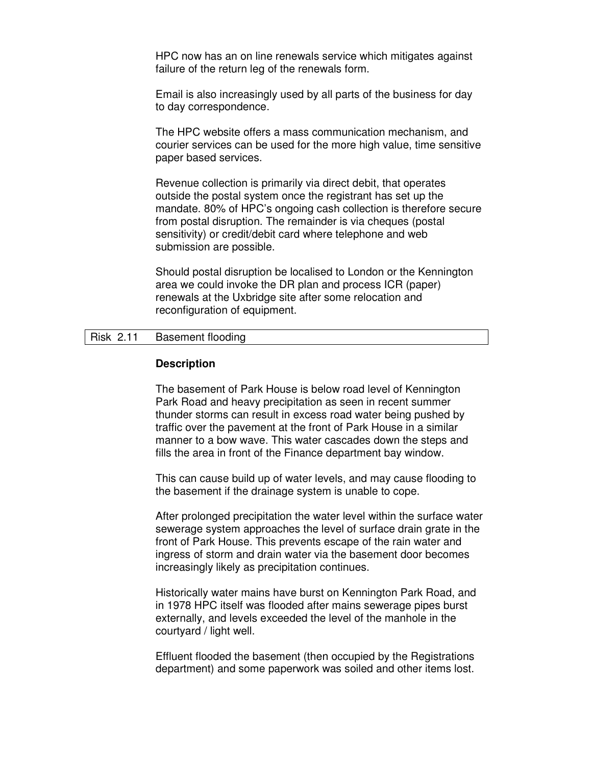HPC now has an on line renewals service which mitigates against failure of the return leg of the renewals form.

Email is also increasingly used by all parts of the business for day to day correspondence.

The HPC website offers a mass communication mechanism, and courier services can be used for the more high value, time sensitive paper based services.

Revenue collection is primarily via direct debit, that operates outside the postal system once the registrant has set up the mandate. 80% of HPC's ongoing cash collection is therefore secure from postal disruption. The remainder is via cheques (postal sensitivity) or credit/debit card where telephone and web submission are possible.

Should postal disruption be localised to London or the Kennington area we could invoke the DR plan and process ICR (paper) renewals at the Uxbridge site after some relocation and reconfiguration of equipment.

## Risk 2.11 Basement flooding

## **Description**

The basement of Park House is below road level of Kennington Park Road and heavy precipitation as seen in recent summer thunder storms can result in excess road water being pushed by traffic over the pavement at the front of Park House in a similar manner to a bow wave. This water cascades down the steps and fills the area in front of the Finance department bay window.

This can cause build up of water levels, and may cause flooding to the basement if the drainage system is unable to cope.

After prolonged precipitation the water level within the surface water sewerage system approaches the level of surface drain grate in the front of Park House. This prevents escape of the rain water and ingress of storm and drain water via the basement door becomes increasingly likely as precipitation continues.

Historically water mains have burst on Kennington Park Road, and in 1978 HPC itself was flooded after mains sewerage pipes burst externally, and levels exceeded the level of the manhole in the courtyard / light well.

Effluent flooded the basement (then occupied by the Registrations department) and some paperwork was soiled and other items lost.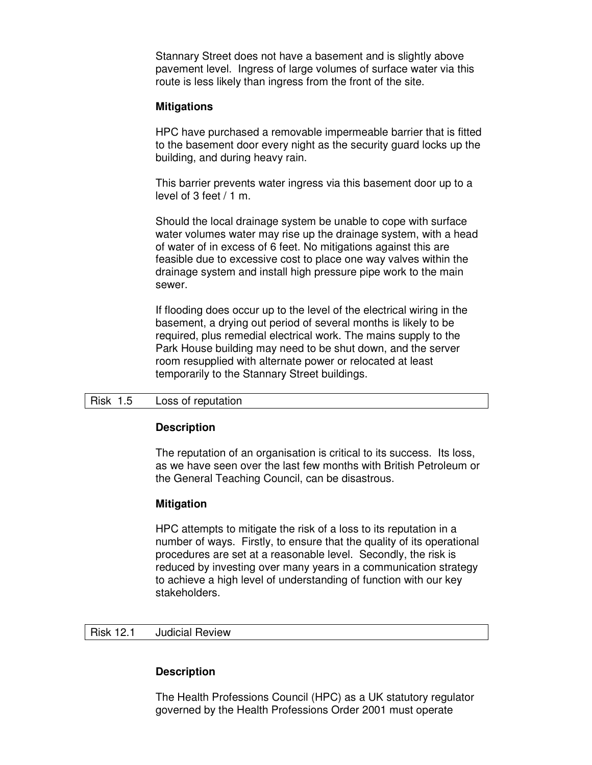Stannary Street does not have a basement and is slightly above pavement level. Ingress of large volumes of surface water via this route is less likely than ingress from the front of the site.

## **Mitigations**

HPC have purchased a removable impermeable barrier that is fitted to the basement door every night as the security guard locks up the building, and during heavy rain.

This barrier prevents water ingress via this basement door up to a level of 3 feet / 1 m.

Should the local drainage system be unable to cope with surface water volumes water may rise up the drainage system, with a head of water of in excess of 6 feet. No mitigations against this are feasible due to excessive cost to place one way valves within the drainage system and install high pressure pipe work to the main sewer.

If flooding does occur up to the level of the electrical wiring in the basement, a drying out period of several months is likely to be required, plus remedial electrical work. The mains supply to the Park House building may need to be shut down, and the server room resupplied with alternate power or relocated at least temporarily to the Stannary Street buildings.

## Risk 1.5 Loss of reputation

## **Description**

The reputation of an organisation is critical to its success. Its loss, as we have seen over the last few months with British Petroleum or the General Teaching Council, can be disastrous.

## **Mitigation**

HPC attempts to mitigate the risk of a loss to its reputation in a number of ways. Firstly, to ensure that the quality of its operational procedures are set at a reasonable level. Secondly, the risk is reduced by investing over many years in a communication strategy to achieve a high level of understanding of function with our key stakeholders.

# Risk 12.1 Judicial Review

# **Description**

The Health Professions Council (HPC) as a UK statutory regulator governed by the Health Professions Order 2001 must operate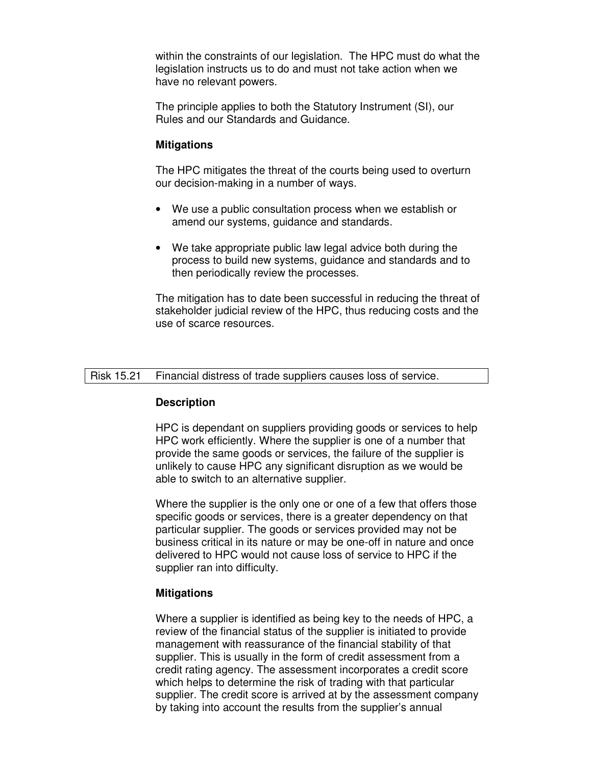within the constraints of our legislation. The HPC must do what the legislation instructs us to do and must not take action when we have no relevant powers.

The principle applies to both the Statutory Instrument (SI), our Rules and our Standards and Guidance.

## **Mitigations**

The HPC mitigates the threat of the courts being used to overturn our decision-making in a number of ways.

- We use a public consultation process when we establish or amend our systems, guidance and standards.
- We take appropriate public law legal advice both during the process to build new systems, guidance and standards and to then periodically review the processes.

The mitigation has to date been successful in reducing the threat of stakeholder judicial review of the HPC, thus reducing costs and the use of scarce resources.

## Risk 15.21 Financial distress of trade suppliers causes loss of service.

## **Description**

HPC is dependant on suppliers providing goods or services to help HPC work efficiently. Where the supplier is one of a number that provide the same goods or services, the failure of the supplier is unlikely to cause HPC any significant disruption as we would be able to switch to an alternative supplier.

Where the supplier is the only one or one of a few that offers those specific goods or services, there is a greater dependency on that particular supplier. The goods or services provided may not be business critical in its nature or may be one-off in nature and once delivered to HPC would not cause loss of service to HPC if the supplier ran into difficulty.

## **Mitigations**

Where a supplier is identified as being key to the needs of HPC, a review of the financial status of the supplier is initiated to provide management with reassurance of the financial stability of that supplier. This is usually in the form of credit assessment from a credit rating agency. The assessment incorporates a credit score which helps to determine the risk of trading with that particular supplier. The credit score is arrived at by the assessment company by taking into account the results from the supplier's annual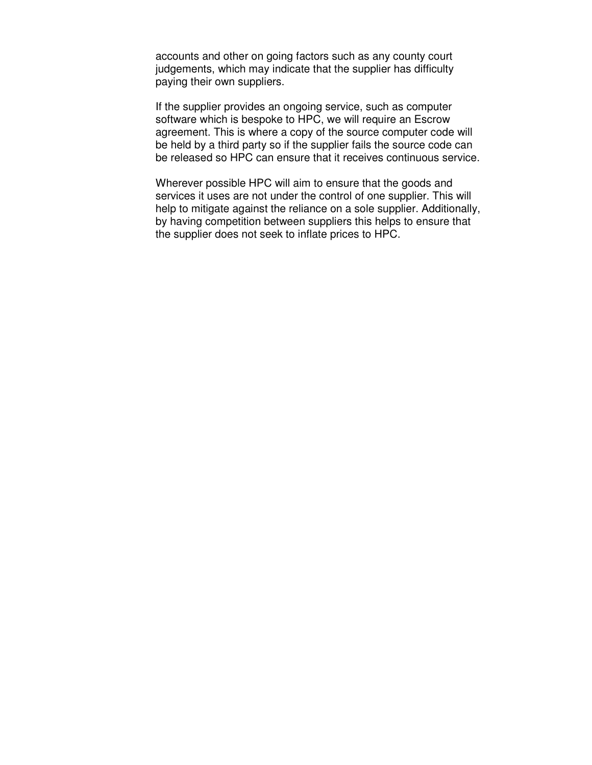accounts and other on going factors such as any county court judgements, which may indicate that the supplier has difficulty paying their own suppliers.

If the supplier provides an ongoing service, such as computer software which is bespoke to HPC, we will require an Escrow agreement. This is where a copy of the source computer code will be held by a third party so if the supplier fails the source code can be released so HPC can ensure that it receives continuous service.

Wherever possible HPC will aim to ensure that the goods and services it uses are not under the control of one supplier. This will help to mitigate against the reliance on a sole supplier. Additionally, by having competition between suppliers this helps to ensure that the supplier does not seek to inflate prices to HPC.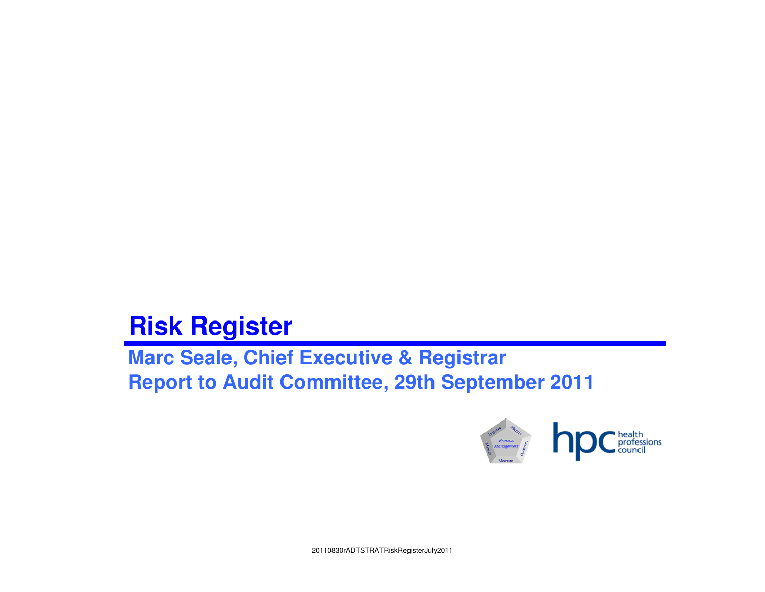# **Risk Register**

 **Marc Seale, Chief Executive & RegistrarReport to Audit Committee, 29th September 2011**

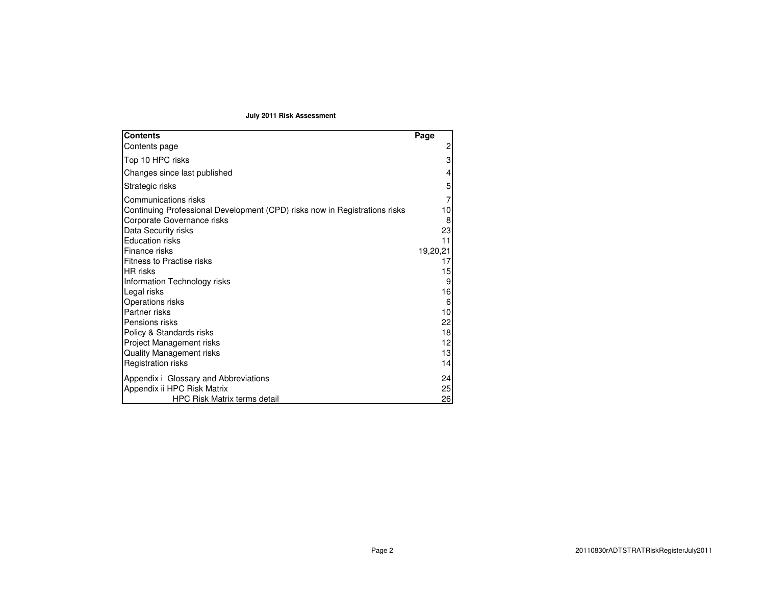## **July 2011 Risk Assessment**

| <b>Contents</b>                                                            | Page     |
|----------------------------------------------------------------------------|----------|
| Contents page                                                              | 2        |
| Top 10 HPC risks                                                           | 3        |
| Changes since last published                                               | 4        |
| Strategic risks                                                            | 5        |
| Communications risks                                                       |          |
| Continuing Professional Development (CPD) risks now in Registrations risks | 10       |
| Corporate Governance risks                                                 | 8        |
| Data Security risks                                                        | 23       |
| <b>Education risks</b><br>Finance risks                                    | 11       |
| <b>Fitness to Practise risks</b>                                           | 19,20,21 |
| <b>HR</b> risks                                                            | 15       |
| Information Technology risks                                               | 9        |
| Legal risks                                                                | 16       |
| Operations risks                                                           | 6        |
| Partner risks                                                              | 10       |
| Pensions risks                                                             | 22       |
| Policy & Standards risks                                                   | 18       |
| Project Management risks                                                   | 12       |
| <b>Quality Management risks</b>                                            | 13       |
| Registration risks                                                         | 14       |
| Appendix i Glossary and Abbreviations                                      | 24       |
| Appendix ii HPC Risk Matrix                                                | 25       |
| <b>HPC Risk Matrix terms detail</b>                                        | 26       |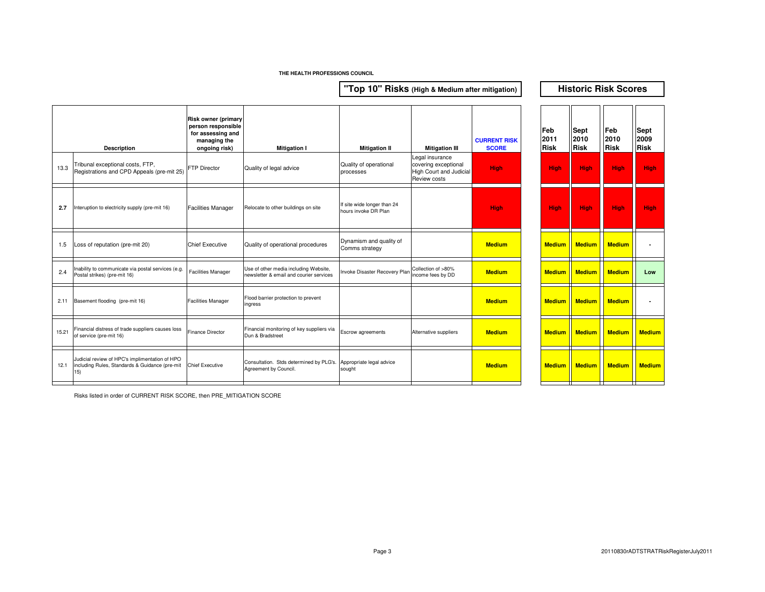**"Top 10" Risks (High & Medium after mitigation)**

**Historic Risk Scores**

|       | <b>Description</b>                                                                                      | <b>Risk owner (primary</b><br>person responsible<br>for assessing and<br>managing the<br>ongoing risk) | <b>Mitigation I</b>                                                                       | <b>Mitigation II</b>                                | <b>Mitigation III</b>                                                              | <b>CURRENT RISK</b><br><b>SCORE</b> | Feb<br>2011<br><b>Risk</b> |               | Sept<br>2010<br><b>Risk</b> | Feb<br>2010<br><b>Risk</b> | <b>Sept</b><br>2009<br><b>Risk</b> |
|-------|---------------------------------------------------------------------------------------------------------|--------------------------------------------------------------------------------------------------------|-------------------------------------------------------------------------------------------|-----------------------------------------------------|------------------------------------------------------------------------------------|-------------------------------------|----------------------------|---------------|-----------------------------|----------------------------|------------------------------------|
| 13.3  | Tribunal exceptional costs, FTP,<br>Registrations and CPD Appeals (pre-mit 25)                          | <b>FTP Director</b>                                                                                    | Quality of legal advice                                                                   | Quality of operational<br>processes                 | Legal insurance<br>covering exceptional<br>High Court and Judicial<br>Review costs | <b>High</b>                         |                            | <b>High</b>   | High                        | High                       | High                               |
| 2.7   | Interuption to electricity supply (pre-mit 16)                                                          | <b>Facilities Manager</b>                                                                              | Relocate to other buildings on site                                                       | If site wide longer than 24<br>hours invoke DR Plan |                                                                                    | <b>High</b>                         |                            | <b>High</b>   | <b>High</b>                 | High                       | <b>High</b>                        |
| 1.5   | Loss of reputation (pre-mit 20)                                                                         | <b>Chief Executive</b>                                                                                 | Quality of operational procedures                                                         | Dynamism and quality of<br>Comms strategy           |                                                                                    | <b>Medium</b>                       |                            | <b>Medium</b> | <b>Medium</b>               | <b>Medium</b>              |                                    |
| 2.4   | Inability to communicate via postal services (e.g.<br>Postal strikes) (pre-mit 16)                      | <b>Facilities Manager</b>                                                                              | Use of other media including Website,<br>newsletter & email and courier services          | Invoke Disaster Recovery Plan                       | Collection of >80%<br>income fees by DD                                            | <b>Medium</b>                       |                            | <b>Medium</b> | <b>Medium</b>               | <b>Medium</b>              | Low                                |
| 2.11  | Basement flooding (pre-mit 16)                                                                          | <b>Facilities Manager</b>                                                                              | Flood barrier protection to prevent<br>ingress                                            |                                                     |                                                                                    | <b>Medium</b>                       |                            | <b>Medium</b> | <b>Medium</b>               | <b>Medium</b>              |                                    |
| 15.21 | Financial distress of trade suppliers causes loss<br>of service (pre-mit 16)                            | <b>Finance Director</b>                                                                                | Financial monitoring of key suppliers via<br>Dun & Bradstreet                             | Escrow agreements                                   | Alternative suppliers                                                              | <b>Medium</b>                       |                            | <b>Medium</b> | <b>Medium</b>               | <b>Medium</b>              | <b>Mediu</b>                       |
| 12.1  | Judicial review of HPC's implimentation of HPO<br>including Rules, Standards & Guidance (pre-mit<br>15) | <b>Chief Executive</b>                                                                                 | Consultation. Stds determined by PLG's. Appropriate legal advice<br>Agreement by Council. | sought                                              |                                                                                    | <b>Medium</b>                       |                            | <b>Medium</b> | <b>Medium</b>               | <b>Medium</b>              | <b>Mediu</b>                       |
|       |                                                                                                         |                                                                                                        |                                                                                           |                                                     |                                                                                    |                                     |                            |               |                             |                            |                                    |

| Ш                 | <b>CURRENT RISK</b><br><b>SCORE</b> | Feb<br>2011<br>Risk | Sept<br>2010<br><b>Risk</b> | Feb<br>2010<br><b>Risk</b> | <b>Sept</b><br>2009<br><b>Risk</b> |
|-------------------|-------------------------------------|---------------------|-----------------------------|----------------------------|------------------------------------|
| ional<br>Judicial | High                                | <b>High</b>         | High                        | High                       | High                               |
|                   | High                                | <b>High</b>         | <b>High</b>                 | High                       | <b>High</b>                        |
|                   | <b>Medium</b>                       | <b>Medium</b>       | <b>Medium</b>               | <b>Medium</b>              |                                    |
| %<br>D            | <b>Medium</b>                       | <b>Medium</b>       | <b>Medium</b>               | <b>Medium</b>              | Low                                |
|                   | <b>Medium</b>                       | <b>Medium</b>       | <b>Medium</b>               | <b>Medium</b>              |                                    |
| ers               | <b>Medium</b>                       | <b>Medium</b>       | <b>Medium</b>               | <b>Medium</b>              | <b>Medium</b>                      |
|                   | <b>Medium</b>                       | <b>Medium</b>       | <b>Medium</b>               | <b>Medium</b>              | <b>Medium</b>                      |

Risks listed in order of CURRENT RISK SCORE, then PRE\_MITIGATION SCORE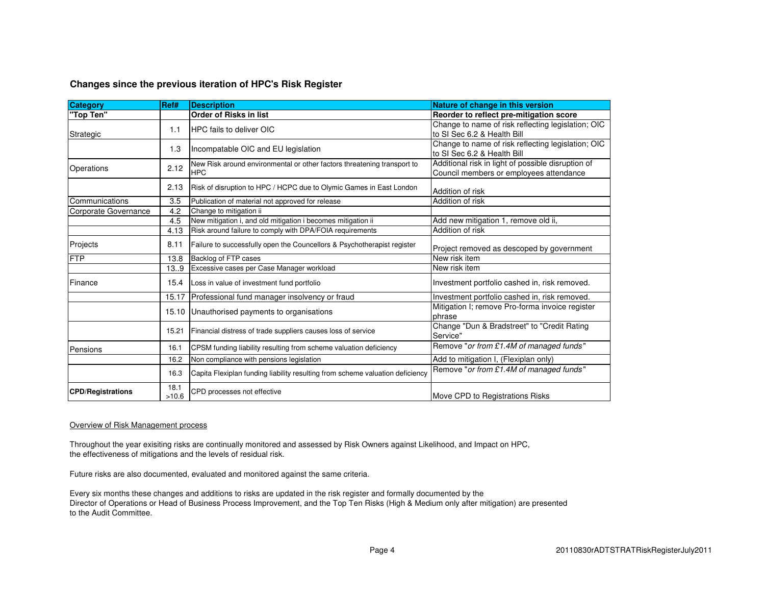## **Changes since the previous iteration of HPC's Risk Register**

| <b>Category</b>          | Ref#  | <b>Description</b>                                                            | Nature of change in this version                        |
|--------------------------|-------|-------------------------------------------------------------------------------|---------------------------------------------------------|
| "Top Ten"                |       | <b>Order of Risks in list</b>                                                 | Reorder to reflect pre-mitigation score                 |
|                          | 1.1   | <b>IHPC fails to deliver OIC</b>                                              | Change to name of risk reflecting legislation; OIC      |
| Strategic                |       |                                                                               | to SI Sec 6.2 & Health Bill                             |
|                          | 1.3   | Incompatable OIC and EU legislation                                           | Change to name of risk reflecting legislation; OIC      |
|                          |       |                                                                               | to SI Sec 6.2 & Health Bill                             |
| Operations               | 2.12  | New Risk around environmental or other factors threatening transport to       | Additional risk in light of possible disruption of      |
|                          |       | <b>HPC</b>                                                                    | Council members or employees attendance                 |
|                          | 2.13  | Risk of disruption to HPC / HCPC due to Olymic Games in East London           | Addition of risk                                        |
| ICommunications          | 3.5   |                                                                               | Addition of risk                                        |
| Corporate Governance     | 4.2   | Publication of material not approved for release<br>Change to mitigation ii   |                                                         |
|                          | 4.5   | New mitigation i, and old mitigation i becomes mitigation ii                  | Add new mitigation 1, remove old ii,                    |
|                          | 4.13  | Risk around failure to comply with DPA/FOIA requirements                      | Addition of risk                                        |
|                          |       |                                                                               |                                                         |
| Projects                 | 8.11  | Failure to successfully open the Councellors & Psychotherapist register       | Project removed as descoped by government               |
| <b>FTP</b>               | 13.8  | Backlog of FTP cases                                                          | New risk item                                           |
|                          | 13.9  | Excessive cases per Case Manager workload                                     | New risk item                                           |
| Finance                  | 15.4  | Loss in value of investment fund portfolio                                    | Investment portfolio cashed in, risk removed.           |
|                          | 15.17 | Professional fund manager insolvency or fraud                                 | Investment portfolio cashed in, risk removed.           |
|                          | 15.10 | Unauthorised payments to organisations                                        | Mitigation I; remove Pro-forma invoice register         |
|                          |       |                                                                               | phrase                                                  |
|                          | 15.21 | Financial distress of trade suppliers causes loss of service                  | Change "Dun & Bradstreet" to "Credit Rating<br>Service" |
|                          |       |                                                                               | Remove "or from £1.4M of managed funds"                 |
| Pensions                 | 16.1  | CPSM funding liability resulting from scheme valuation deficiency             |                                                         |
|                          | 16.2  | Non compliance with pensions legislation                                      | Add to mitigation I, (Flexiplan only)                   |
|                          | 16.3  | Capita Flexiplan funding liability resulting from scheme valuation deficiency | Remove "or from £1.4M of managed funds"                 |
| <b>CPD/Registrations</b> | 18.1  | CPD processes not effective                                                   |                                                         |
|                          | >10.6 |                                                                               | Move CPD to Registrations Risks                         |

## Overview of Risk Management process

Throughout the year exisiting risks are continually monitored and assessed by Risk Owners against Likelihood, and Impact on HPC, the effectiveness of mitigations and the levels of residual risk.

Future risks are also documented, evaluated and monitored against the same criteria.

Every six months these changes and additions to risks are updated in the risk register and formally documented by the Director of Operations or Head of Business Process Improvement, and the Top Ten Risks (High & Medium only after mitigation) are presented to the Audit Committee.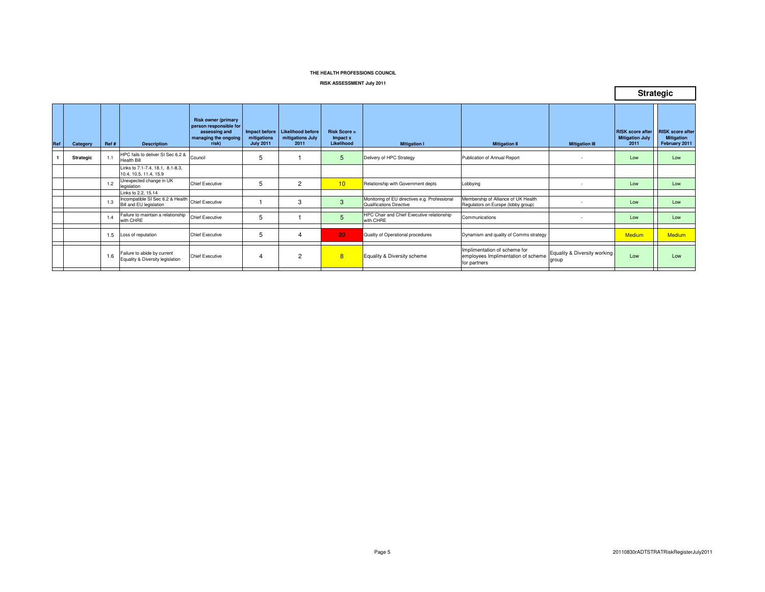#### **RISK ASSESSMENT July 2011**

|     |           |      |                                                                             |                                                                                                        |                                                  |                                                      |                                               |                                                                           |                                                                                    |                                       | <b>Strategic</b>                                          |                                                               |
|-----|-----------|------|-----------------------------------------------------------------------------|--------------------------------------------------------------------------------------------------------|--------------------------------------------------|------------------------------------------------------|-----------------------------------------------|---------------------------------------------------------------------------|------------------------------------------------------------------------------------|---------------------------------------|-----------------------------------------------------------|---------------------------------------------------------------|
| Ref | Category  | Ref# | <b>Description</b>                                                          | <b>Risk owner (primary</b><br>person responsible for<br>assessing and<br>managing the ongoing<br>risk) | Impact before<br>mitigations<br><b>July 2011</b> | <b>Likelihood before</b><br>mitigations July<br>2011 | <b>Risk Score =</b><br>Impact x<br>Likelihood | <b>Mitigation I</b>                                                       | <b>Mitigation II</b>                                                               | <b>Mitigation III</b>                 | <b>RISK</b> score after<br><b>Mitigation July</b><br>2011 | <b>RISK</b> score after<br><b>Mitigation</b><br>February 2011 |
|     | Strategic | 1.1  | HPC fails to deliver SI Sec 6.2 & Council<br><b>Health Bill</b>             |                                                                                                        | 5                                                |                                                      | 5                                             | Delivery of HPC Strategy                                                  | Publication of Annual Report                                                       | $\overline{\phantom{a}}$              | Low                                                       | Low                                                           |
|     |           |      | Links to 7.1-7.4, 18.1, 8.1-8.3,<br>10.4, 10.5, 11.4, 15.9                  |                                                                                                        |                                                  |                                                      |                                               |                                                                           |                                                                                    |                                       |                                                           |                                                               |
|     |           | 1.2  | Unexpected change in UK<br>legislation                                      | Chief Executive                                                                                        | 5                                                | $\overline{2}$                                       | 10                                            | Relationship with Government depts                                        | Lobbying                                                                           | $\sim$                                | Low                                                       | Low                                                           |
|     |           |      | Links to 2.2, 15.14                                                         |                                                                                                        |                                                  |                                                      |                                               |                                                                           |                                                                                    |                                       |                                                           |                                                               |
|     |           | 1.3  | Incompatible SI Sec 6.2 & Health Chief Executive<br>Bill and EU legislation |                                                                                                        |                                                  | 3                                                    | 3                                             | Monitoring of EU directives e.g. Professional<br>Qualifications Directive | Membership of Alliance of UK Health<br>Regulators on Europe (lobby group)          |                                       | Low                                                       | Low                                                           |
|     |           | 1.4  | Failure to maintain a relationship<br>with CHRE                             | <b>Chief Executive</b>                                                                                 | 5                                                |                                                      | 5                                             | HPC Chair and Chief Executive relationship<br>with CHRE                   | Communications                                                                     |                                       | Low                                                       | Low                                                           |
|     |           | 1.5  | Loss of reputation                                                          | <b>Chief Executive</b>                                                                                 | 5                                                | 4                                                    | 20                                            | Quality of Operational procedures                                         | Dynamism and quality of Comms strategy                                             |                                       | <b>Medium</b>                                             | <b>Medium</b>                                                 |
|     |           | 1.6  | Failure to abide by current<br>Equality & Diversity legislation             | <b>Chief Executive</b>                                                                                 | 4                                                | $\overline{2}$                                       | $\overline{8}$                                | Equality & Diversity scheme                                               | Implimentation of scheme for<br>employees Implimentation of scheme<br>for partners | Equality & Diversity working<br>group | Low                                                       | Low                                                           |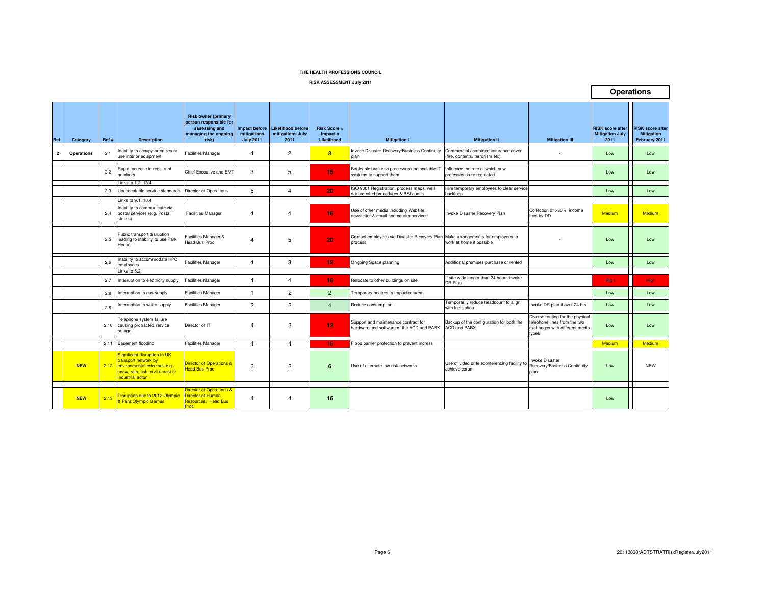**RISK ASSESSMENT July 2011**

|                |            |       |                                                                                                                                                  |                                                                                                        |                                                         |                                                      |                                          |                                                                                            |                                                                        |                                                                                                             |                                                           | <b>Operations</b>                                             |
|----------------|------------|-------|--------------------------------------------------------------------------------------------------------------------------------------------------|--------------------------------------------------------------------------------------------------------|---------------------------------------------------------|------------------------------------------------------|------------------------------------------|--------------------------------------------------------------------------------------------|------------------------------------------------------------------------|-------------------------------------------------------------------------------------------------------------|-----------------------------------------------------------|---------------------------------------------------------------|
| Ref            | Category   | Ref # | <b>Description</b>                                                                                                                               | <b>Risk owner (primary</b><br>person responsible for<br>assessing and<br>managing the ongoing<br>risk) | <b>Impact before</b><br>mitigations<br><b>July 2011</b> | <b>Likelihood before</b><br>mitigations July<br>2011 | $Risk Score =$<br>Impact x<br>Likelihood | <b>Mitigation I</b>                                                                        | <b>Mitigation II</b>                                                   | <b>Mitigation III</b>                                                                                       | <b>RISK score after</b><br><b>Mitigation July</b><br>2011 | <b>RISK score after</b><br><b>Mitigation</b><br>February 2011 |
| $\overline{2}$ | Operations | 2.1   | Inability to occupy premises or<br>use interior equipment                                                                                        | <b>Facilities Manager</b>                                                                              | $\overline{4}$                                          | $\overline{2}$                                       | $\overline{8}$                           | Invoke Disaster Recovery/Business Continuity<br>plan                                       | Commercial combined insurance cover<br>(fire, contents, terrorism etc) |                                                                                                             | Low                                                       | Low                                                           |
|                |            | 2.2   | Rapid increase in registrant<br>numbers                                                                                                          | Chief Executive and EMT                                                                                | 3                                                       | 5                                                    | 15                                       | Scaleable business processes and scalable IT<br>systems to support them                    | Influence the rate at which new<br>professions are regulated           |                                                                                                             | Low                                                       | Low                                                           |
|                |            |       | Links to 1.2, 13.4                                                                                                                               |                                                                                                        |                                                         |                                                      |                                          | SO 9001 Registration, process maps, well                                                   | Hire temporary employees to clear service                              |                                                                                                             |                                                           |                                                               |
|                |            | 2.3   | Unacceptable service standards                                                                                                                   | Director of Operations                                                                                 | 5                                                       | $\overline{4}$                                       | 20                                       | documented procedures & BSI audits                                                         | backlogs                                                               |                                                                                                             | Low                                                       | Low                                                           |
|                |            |       | Links to 9.1, 10.4                                                                                                                               |                                                                                                        |                                                         |                                                      |                                          |                                                                                            |                                                                        |                                                                                                             |                                                           |                                                               |
|                |            | 2.4   | Inability to communicate via<br>postal services (e.g. Postal<br>strikes)                                                                         | <b>Facilities Manager</b>                                                                              | $\overline{4}$                                          | $\overline{4}$                                       | 16                                       | Jse of other media including Website,<br>newsletter & email and courier services           | Invoke Disaster Recovery Plan                                          | Collection of >80% income<br>fees by DD                                                                     | Medium                                                    | Medium                                                        |
|                |            | 2.5   | Public transport disruption<br>leading to inability to use Park<br>House                                                                         | Facilities Manager &<br><b>Head Bus Proc</b>                                                           | $\overline{4}$                                          | 5                                                    | 20                                       | Contact employees via Disaster Recovery Plan Make arrangements for employees to<br>process | work at home if possible                                               |                                                                                                             | Low                                                       | Low                                                           |
|                |            | 2.6   | nability to accommodate HPC<br>employees<br>Links to 5.2                                                                                         | Facilities Manager                                                                                     | $\overline{4}$                                          | 3                                                    | 12                                       | Ongoing Space planning                                                                     | Additional premises purchase or rented                                 |                                                                                                             | Low                                                       | Low                                                           |
|                |            | 2.7   | Interruption to electricity supply                                                                                                               | <b>Facilities Manager</b>                                                                              | $\overline{4}$                                          | $\overline{4}$                                       | 16 <sub>1</sub>                          | Relocate to other buildings on site                                                        | If site wide longer than 24 hours invoke<br>DR Plan                    |                                                                                                             | <b>High</b>                                               | High                                                          |
|                |            | 2.8   | terruption to gas supply                                                                                                                         | <b>Facilities Manager</b>                                                                              | $\overline{1}$                                          | $\overline{2}$                                       | $\overline{2}$                           | Temporary heaters to impacted areas                                                        |                                                                        |                                                                                                             | Low                                                       | Low                                                           |
|                |            | 2.9   | Interruption to water supply                                                                                                                     | <b>Facilities Manager</b>                                                                              | $\overline{2}$                                          | $\overline{2}$                                       | $\overline{4}$                           | Reduce consumption                                                                         | Femporarily reduce headcount to align<br>vith legislation              | Invoke DR plan if over 24 hrs                                                                               | Low                                                       | Low                                                           |
|                |            |       | Telephone system failure<br>2.10 causing protracted service<br>outage                                                                            | Director of IT                                                                                         | $\overline{4}$                                          | 3                                                    | 12                                       | Support and maintenance contract for<br>hardware and software of the ACD and PABX          | Backup of the configuration for both the<br>ACD and PABX               | Diverse routing for the physical<br>telephone lines from the two<br>exchanges with different media<br>types | Low                                                       | Low                                                           |
|                |            | 2.11  | <b>Basement flooding</b>                                                                                                                         | <b>Facilities Manager</b>                                                                              | $\overline{4}$                                          | $\overline{4}$                                       | 16                                       | lood barrier protection to prevent ingress                                                 |                                                                        |                                                                                                             | Medium                                                    | Medium                                                        |
|                | <b>NEW</b> |       | Significant disruption to UK<br>transport network by<br>2.12 environmental extremes e.g.<br>snow, rain, ash: civil unrest or<br>industrial acton | <b>Director of Operations &amp;</b><br><b>lead Bus Proc</b>                                            | 3                                                       | $\overline{2}$                                       | 6                                        | Use of alternate low risk networks                                                         | Use of video or teleconferencing facility to<br>achieve corum          | <b>Invoke Disaster</b><br>Recovery/Business Continuity<br>plan                                              | Low                                                       | <b>NEW</b>                                                    |
|                |            |       |                                                                                                                                                  |                                                                                                        |                                                         |                                                      |                                          |                                                                                            |                                                                        |                                                                                                             |                                                           |                                                               |
|                | <b>NEW</b> | 2.13  | Disruption due to 2012 Olympic<br>& Para Olympic Games                                                                                           | Director of Operations &<br>Director of Human<br>Resources, Head Bus<br>Proc                           | $\overline{4}$                                          | $\overline{4}$                                       | 16                                       |                                                                                            |                                                                        |                                                                                                             | Low                                                       |                                                               |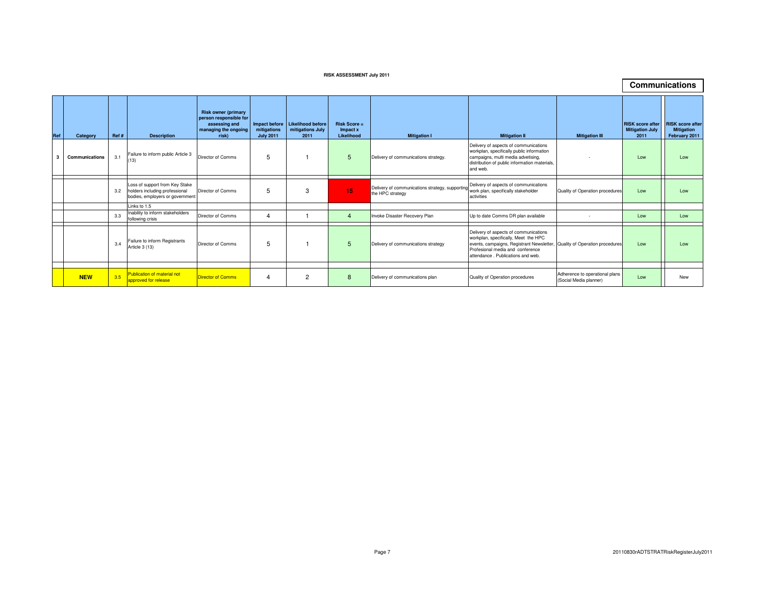#### **RISK ASSESSMENT July 2011**

|     |                |      |                                                                                                     |                                                                                                        |                                 |                                                             |                                               |                                                                    |                                                                                                                                                                                                     |                                                          |                                                           | <b>Communications</b>                                         |
|-----|----------------|------|-----------------------------------------------------------------------------------------------------|--------------------------------------------------------------------------------------------------------|---------------------------------|-------------------------------------------------------------|-----------------------------------------------|--------------------------------------------------------------------|-----------------------------------------------------------------------------------------------------------------------------------------------------------------------------------------------------|----------------------------------------------------------|-----------------------------------------------------------|---------------------------------------------------------------|
| Ref | Category       | Ref# | <b>Description</b>                                                                                  | <b>Risk owner (primary</b><br>person responsible for<br>assessing and<br>managing the ongoing<br>risk) | mitigations<br><b>July 2011</b> | Impact before Likelihood before<br>mitigations July<br>2011 | <b>Risk Score =</b><br>Impact x<br>Likelihood | <b>Mitigation I</b>                                                | <b>Mitigation II</b>                                                                                                                                                                                | <b>Mitigation III</b>                                    | <b>RISK</b> score after<br><b>Mitigation July</b><br>2011 | <b>RISK</b> score after<br><b>Mitigation</b><br>February 2011 |
|     | Communications | 3.1  | Failure to inform public Article 3<br>(13)                                                          | Director of Comms                                                                                      | 5                               |                                                             | 5                                             | Delivery of communications strategy.                               | Delivery of aspects of communications<br>workplan, specifically public information<br>campaigns, multi media advetising,<br>distribution of public information materials,<br>and web.               |                                                          | Low                                                       | Low                                                           |
|     |                | 3.2  | Loss of support from Key Stake<br>holders including professional<br>bodies, employers or government | Director of Comms                                                                                      | 5                               | 3                                                           | 15                                            | Delivery of communications strategy, supportin<br>the HPC strategy | Delivery of aspects of communications<br>work plan, specifically stakeholder<br>activities                                                                                                          | Quality of Operation procedures                          | Low                                                       | Low                                                           |
|     |                |      | Links to 1.5                                                                                        |                                                                                                        |                                 |                                                             |                                               |                                                                    |                                                                                                                                                                                                     |                                                          |                                                           |                                                               |
|     |                | 3.3  | Inability to inform stakeholders<br>following crisis                                                | Director of Comms                                                                                      |                                 |                                                             | $\overline{4}$                                | Invoke Disaster Recovery Plan                                      | Up to date Comms DR plan available                                                                                                                                                                  |                                                          | Low                                                       | Low                                                           |
|     |                | 3.4  | Failure to inform Registrants<br>Article 3 (13)                                                     | Director of Comms                                                                                      | 5                               |                                                             | 5                                             | Delivery of communications strategy                                | Delivery of aspects of communications<br>workplan, specifically, Meet the HPC<br>events, campaigns, Registrant Newsletter,<br>Profesional media and conference<br>attendance, Publications and web. | Quality of Operation procedures                          | Low                                                       | Low                                                           |
|     |                |      |                                                                                                     |                                                                                                        |                                 |                                                             |                                               |                                                                    |                                                                                                                                                                                                     |                                                          |                                                           |                                                               |
|     | <b>NEW</b>     | 3.5  | Publication of material not<br>approved for release                                                 | <b>Director of Comms</b>                                                                               |                                 | $\overline{c}$                                              | 8                                             | Delivery of communications plan                                    | Quality of Operation procedures                                                                                                                                                                     | Adherence to operational plans<br>(Social Media planner) | Low                                                       | New                                                           |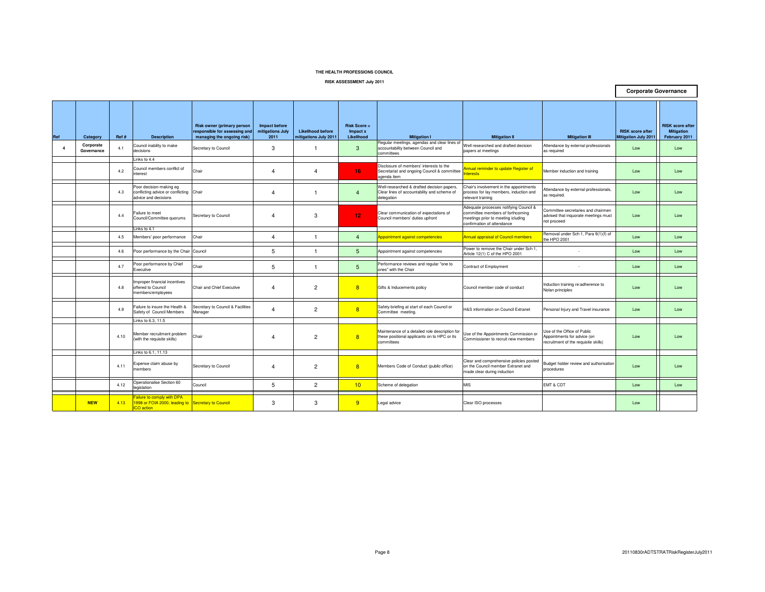**RISK ASSESSMENT July 2011**

|                |                         |       |                                                                                      |                                                                                                  |                                           |                                                   |                                               |                                                                                                              |                                                                                                                                                |                                                                                                    | <b>Corporate Governance</b>                            |                                                               |
|----------------|-------------------------|-------|--------------------------------------------------------------------------------------|--------------------------------------------------------------------------------------------------|-------------------------------------------|---------------------------------------------------|-----------------------------------------------|--------------------------------------------------------------------------------------------------------------|------------------------------------------------------------------------------------------------------------------------------------------------|----------------------------------------------------------------------------------------------------|--------------------------------------------------------|---------------------------------------------------------------|
| Ref            | Category                | Ref # | <b>Description</b>                                                                   | <b>Risk owner (primary person</b><br>responsible for assessing and<br>managing the ongoing risk) | Impact before<br>mitigations July<br>2011 | <b>Likelihood before</b><br>mitigations July 2011 | <b>Risk Score =</b><br>Impact x<br>Likelihood | <b>Mitigation I</b>                                                                                          | <b>Mitigation II</b>                                                                                                                           | <b>Mitigation III</b>                                                                              | <b>RISK</b> score after<br><b>Mitigation July 2011</b> | <b>RISK</b> score after<br><b>Mitigation</b><br>February 2011 |
| $\overline{4}$ | Corporate<br>Governance | 4.1   | Council inability to make<br>decisions                                               | Secretary to Council                                                                             | 3                                         | -1                                                | 3                                             | Regular meetings, agendas and clear lines of<br>accountability between Council and<br>committees             | Well researched and drafted decision<br>papers at meetings                                                                                     | Attendance by external professionals<br>as required                                                | Low                                                    | Low                                                           |
|                |                         |       | Links to 4.4                                                                         |                                                                                                  |                                           |                                                   |                                               |                                                                                                              |                                                                                                                                                |                                                                                                    |                                                        |                                                               |
|                |                         | 4.2   | Council members conflict of<br>nterest                                               | Chair                                                                                            | 4                                         | $\overline{4}$                                    | 16                                            | Disclosure of members' interests to the<br>Secretariat and ongoing Council & committee<br>agenda item        | Annual reminder to update Register of<br>terests                                                                                               | Member induction and training                                                                      | Low                                                    | Low                                                           |
|                |                         | 4.3   | Poor decision-making eg<br>conflicting advice or conflicting<br>advice and decisions | Chair                                                                                            | $\overline{4}$                            |                                                   | $\overline{4}$                                | Well-researched & drafted decision papers,<br>Clear lines of accountability and scheme of<br>delegation      | Chair's involvement in the appointments<br>process for lay members, induction and<br>relevant training                                         | Attendance by external professionals,<br>as required.                                              | Low                                                    | Low                                                           |
|                |                         | 4.4   | Failure to meet<br>Council/Committee quorums                                         | Secretary to Council                                                                             | $\overline{4}$                            | 3                                                 | 12 <sub>1</sub>                               | Clear communication of expectations of<br>Council members' duties upfront                                    | Adequate processes notifying Council &<br>committee members of forthcoming<br>meetings prior to meeting icluding<br>confirmation of attendance | Committee secretaries and chairmen<br>advised that inquorate meetings must<br>not proceed          | Low                                                    | Low                                                           |
|                |                         |       | Links to 4.1                                                                         |                                                                                                  |                                           |                                                   |                                               |                                                                                                              |                                                                                                                                                |                                                                                                    |                                                        |                                                               |
|                |                         | 4.5   | Members' poor performance                                                            | Chair                                                                                            | $\overline{\mathbf{A}}$                   | -1                                                | $\overline{4}$                                | Appointment against competencies                                                                             | <b>Annual appraisal of Council members</b>                                                                                                     | Removal under Sch 1, Para 9(1)(f) of<br>the HPO 2001                                               | Low                                                    | Low                                                           |
|                |                         | 4.6   | Poor performance by the Chair Council                                                |                                                                                                  | 5                                         |                                                   | 5                                             | Appointment against competencies                                                                             | Power to remove the Chair under Sch 1,<br>Article 12(1) C of the HPO 2001                                                                      |                                                                                                    | Low                                                    | Low                                                           |
|                |                         | 4.7   | Poor performance by Chief<br>Executive                                               | Chair                                                                                            | 5                                         |                                                   | 5                                             | Performance reviews and regular "one to<br>ones" with the Chair                                              | Contract of Employment                                                                                                                         |                                                                                                    | Low                                                    | Low                                                           |
|                |                         | 4.8   | mproper financial incentives<br>offered to Council<br>members/employees              | Chair and Chief Executive                                                                        | $\overline{4}$                            | $\overline{2}$                                    | 8                                             | Gifts & Inducements policy                                                                                   | Council member code of conduct                                                                                                                 | Induction training re:adherence to<br>Nolan principles                                             | Low                                                    | Low                                                           |
|                |                         | 4.9   | Failure to insure the Health &<br>Safety of Council Members                          | Secretary to Council & Facilities<br>Manager                                                     | $\overline{a}$                            | $\overline{c}$                                    | 8                                             | Safety briefing at start of each Council or<br>Committee meeting.                                            | H&S information on Council Extranet                                                                                                            | Personal Injury and Travel insurance                                                               | Low                                                    | Low                                                           |
|                |                         |       | Links to 6.3, 11.5                                                                   |                                                                                                  |                                           |                                                   |                                               |                                                                                                              |                                                                                                                                                |                                                                                                    |                                                        |                                                               |
|                |                         | 4.10  | Member recruitment problem<br>with the requisite skills)                             | Chair                                                                                            | $\overline{4}$                            | $\overline{2}$                                    | 8                                             | Maintenance of a detailed role description for<br>these positional applicants on to HPC or its<br>committees | Jse of the Appointments Commission or<br>Commissioner to recruit new members                                                                   | Use of the Office of Public<br>Appointments for advice (on<br>recruitment of the requisite skills) | Low                                                    | Low                                                           |
|                |                         |       | Links to 6.1, 11.13                                                                  |                                                                                                  |                                           |                                                   |                                               |                                                                                                              |                                                                                                                                                |                                                                                                    |                                                        |                                                               |
|                |                         | 4.11  | Expense claim abuse by<br>members                                                    | Secretary to Council                                                                             | $\overline{a}$                            | $\overline{2}$                                    | 8                                             | Members Code of Conduct (public office)                                                                      | Clear and comprehensive policies posted<br>on the Council member Extranet and<br>made clear during induction                                   | Budget holder review and authorisation<br>procedures                                               | Low                                                    | Low                                                           |
|                |                         | 4.12  | Operationalise Section 60<br>egislation                                              | Council                                                                                          | 5                                         | $\overline{2}$                                    | 10                                            | Scheme of delegation                                                                                         | <b>MIS</b>                                                                                                                                     | EMT & CDT                                                                                          | Low                                                    | Low                                                           |
|                |                         |       | ailure to comply with DPA                                                            |                                                                                                  |                                           |                                                   |                                               |                                                                                                              |                                                                                                                                                |                                                                                                    |                                                        |                                                               |
|                | <b>NEW</b>              | 4.13  | 998 or FOIA 2000, leading to Secretary to Council<br>CO action                       |                                                                                                  | 3                                         | 3                                                 | $\overline{9}$                                | Legal advice                                                                                                 | Clear ISO processes                                                                                                                            |                                                                                                    | Low                                                    |                                                               |

┑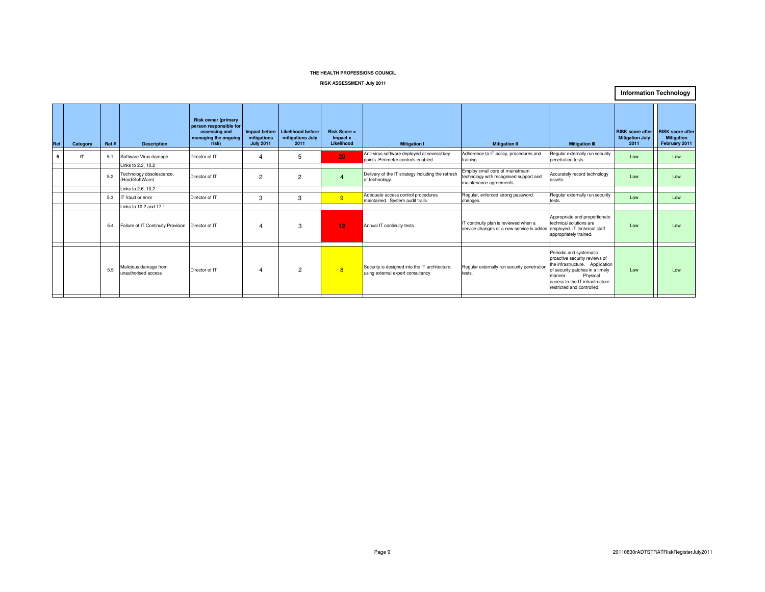#### **RISK ASSESSMENT July 2011**

**Information Technology**

| Ref | Category | Ref# | <b>Description</b>                                                | <b>Risk owner (primary</b><br>person responsible for<br>assessing and<br>managing the ongoing<br>risk) | mitigations<br><b>July 2011</b> | Impact before Likelihood before<br>mitigations July<br>2011 | $Risk Score =$<br>Impact x<br>Likelihood | <b>Mitigation I</b>                                                                 | <b>Mitigation II</b>                                                                                            | <b>Mitigation III</b>                                                                                                                                                                                                   | <b>RISK score after</b><br><b>Mitigation July</b><br>2011 | <b>RISK score after</b><br><b>Mitigation</b><br>February 2011 |
|-----|----------|------|-------------------------------------------------------------------|--------------------------------------------------------------------------------------------------------|---------------------------------|-------------------------------------------------------------|------------------------------------------|-------------------------------------------------------------------------------------|-----------------------------------------------------------------------------------------------------------------|-------------------------------------------------------------------------------------------------------------------------------------------------------------------------------------------------------------------------|-----------------------------------------------------------|---------------------------------------------------------------|
|     | IT       | 5.1  | Software Virus damage                                             | Director of IT                                                                                         | 4                               | 5                                                           | 20                                       | Anti-virus software deployed at several key<br>points. Perimeter controls enabled.  | Adherence to IT policy, procedures and<br>training                                                              | Regular externally run security<br>penetration tests.                                                                                                                                                                   | Low                                                       | Low                                                           |
|     |          | 5.2  | Links to 2.3, 10.2<br>Technology obsolescence,<br>(Hard/SoftWare) | Director of IT                                                                                         | $\overline{2}$                  | 2                                                           | $\boldsymbol{\Lambda}$                   | Delivery of the IT strategy including the refresh<br>of technology.                 | Employ small core of mainstream<br>technology with recognised support and<br>maintenance agreements             | Accurately record technology<br>assets.                                                                                                                                                                                 | Low                                                       | Low                                                           |
|     |          |      | Links to 2.6, 10.2                                                |                                                                                                        |                                 |                                                             |                                          |                                                                                     |                                                                                                                 |                                                                                                                                                                                                                         |                                                           |                                                               |
|     |          | 5.3  | IT fraud or error                                                 | Director of IT                                                                                         | 3                               | 3                                                           | 9                                        | Adequate access control procedures<br>maintained. System audit trails.              | Regular, enforced strong password<br>changes.                                                                   | Regular externally run security<br>tests.                                                                                                                                                                               | Low                                                       | Low                                                           |
|     |          |      | Links to 10.2 and 17.1                                            |                                                                                                        |                                 |                                                             |                                          |                                                                                     |                                                                                                                 |                                                                                                                                                                                                                         |                                                           |                                                               |
|     |          | 5.4  | Failure of IT Continuity Provision Director of IT                 |                                                                                                        | 4                               | 3                                                           | 12                                       | Annual IT continuity tests                                                          | IT continuity plan is reviewed when a<br>service changes or a new service is added employed. IT technical staff | Appropriate and proportionate<br>technical solutions are<br>appropriately trained.                                                                                                                                      | Low                                                       | Low                                                           |
|     |          | 5.5  | Malicious damage from<br>unauthorised access                      | Director of IT                                                                                         | 4                               | 2                                                           | 8                                        | Security is designed into the IT architecture,<br>using external expert consultancy | Regular externally run security penetration<br>tests.                                                           | Periodic and systematic<br>proactive security reviews of<br>the infrastructure. Application<br>of security patches in a timely<br>Physical<br>manner.<br>access to the IT infrastructure.<br>restricted and controlled. | Low                                                       | Low                                                           |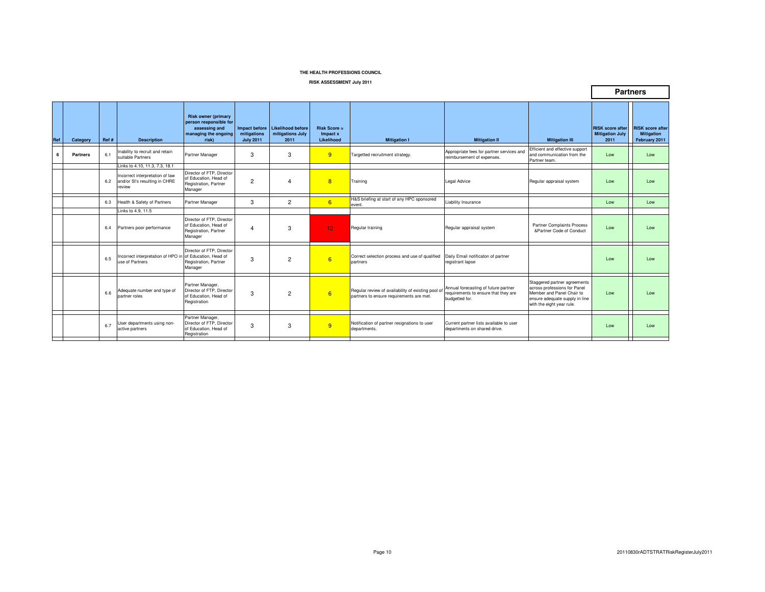**RISK ASSESSMENT July 2011**

|     |          |       |                                                                                                              |                                                                                                        |                                                  |                                               |                                          |                                                                                                |                                                                                                |                                                                                                                                                          |                                                           | <b>Partners</b>                                               |
|-----|----------|-------|--------------------------------------------------------------------------------------------------------------|--------------------------------------------------------------------------------------------------------|--------------------------------------------------|-----------------------------------------------|------------------------------------------|------------------------------------------------------------------------------------------------|------------------------------------------------------------------------------------------------|----------------------------------------------------------------------------------------------------------------------------------------------------------|-----------------------------------------------------------|---------------------------------------------------------------|
| Ref | Category | Ref # | <b>Description</b>                                                                                           | <b>Risk owner (primary</b><br>person responsible for<br>assessing and<br>managing the ongoing<br>risk) | Impact before<br>mitigations<br><b>July 2011</b> | Likelihood before<br>mitigations July<br>2011 | $Risk Score =$<br>Impact x<br>Likelihood | <b>Mitigation I</b>                                                                            | <b>Mitigation II</b>                                                                           | <b>Mitigation III</b>                                                                                                                                    | <b>RISK</b> score after<br><b>Mitigation July</b><br>2011 | <b>RISK score after</b><br><b>Mitigation</b><br>February 2011 |
| 6   | Partners | 6.1   | nability to recruit and retain<br>suitable Partners                                                          | Partner Manager                                                                                        | 3                                                | 3                                             | 9                                        | Targetted recruitment strategy.                                                                | Appropriate fees for partner services and<br>reimbursement of expenses.                        | Efficient and effective support<br>and communication from the<br>Partner team.                                                                           | Low                                                       | Low                                                           |
|     |          | 6.2   | Links to 4.10, 11.3, 7.3, 18.1<br>Incorrect interpretation of law<br>and/or SI's resulting in CHRE<br>review | Director of FTP. Director<br>of Education. Head of<br>Registration, Partner<br>Manager                 | $\overline{2}$                                   | $\overline{4}$                                | 8                                        | Training                                                                                       | <b>Legal Advice</b>                                                                            | Regular appraisal system                                                                                                                                 | Low                                                       | Low                                                           |
|     |          | 6.3   | Health & Safety of Partners                                                                                  | Partner Manager                                                                                        | 3                                                | $\overline{2}$                                | 6                                        | H&S briefing at start of any HPC sponsored<br>event.                                           | Liability Insurance                                                                            |                                                                                                                                                          | Low                                                       | Low                                                           |
|     |          |       | Links to 4.9, 11.5                                                                                           |                                                                                                        |                                                  |                                               |                                          |                                                                                                |                                                                                                |                                                                                                                                                          |                                                           |                                                               |
|     |          | 6.4   | Partners poor performance                                                                                    | Director of FTP. Director<br>of Education. Head of<br>Registration, Partner<br>Manager                 | 4                                                | 3                                             | 12 <sub>2</sub>                          | Regular training                                                                               | Regular appraisal system                                                                       | Partner Complaints Process<br>&Partner Code of Conduct                                                                                                   | Low                                                       | Low                                                           |
|     |          | 6.5   | ncorrect interpretation of HPO in of Education, Head of<br>use of Partners                                   | Director of FTP. Director<br>Registration, Partner<br>Manager                                          | 3                                                | $\overline{2}$                                | 6                                        | Correct selection process and use of qualified<br>partners                                     | Daily Email notificaton of partner<br>registrant lapse                                         |                                                                                                                                                          | Low                                                       | Low                                                           |
|     |          | 6.6   | Adequate number and type of<br>partner roles                                                                 | Partner Manager<br>Director of FTP. Director<br>of Education, Head of<br>Registration                  | 3                                                | $\overline{2}$                                | 6                                        | Regular review of availability of existing pool of<br>partners to ensure requirements are met. | Annual forecasting of future partner<br>requirements to ensure that they are<br>budgetted for. | Staggered partner agreements<br>across professions for Panel<br>Member and Panel Chair to<br>ensure adequate supply in line<br>with the eight year rule. | Low                                                       | Low                                                           |
|     |          | 6.7   | User departments using non-<br>active partners                                                               | Partner Manager,<br>Director of FTP. Director<br>of Education, Head of<br>Registration                 | 3                                                | 3                                             | 9                                        | Notification of partner resignations to user<br>departments.                                   | Current partner lists available to user<br>departments on shared drive.                        |                                                                                                                                                          | Low                                                       | Low<br><b>Service</b>                                         |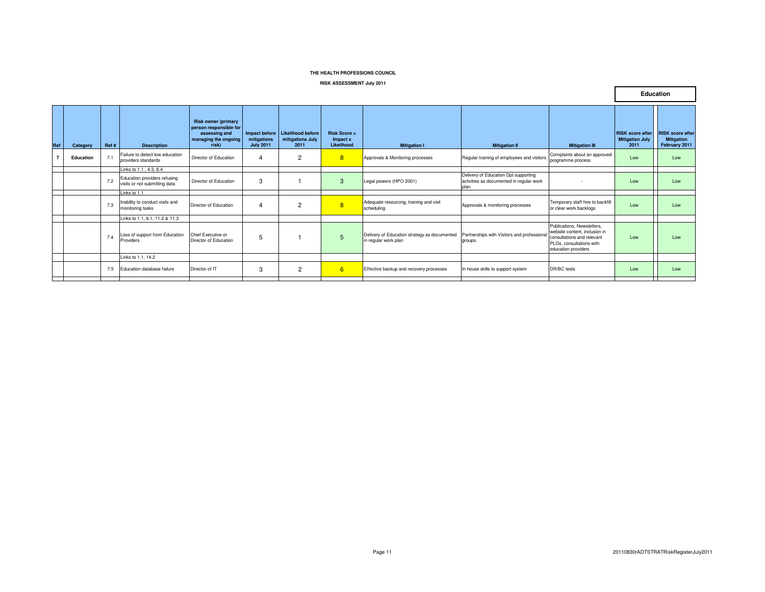#### **RISK ASSESSMENT July 2011**

|     |           |      |                                                               |                                                                                                        |                                                  |                                               |                                          |                                                                      |                                                                                          |                                                                                                                                              |                                                           | <b>Euucation</b>                                              |
|-----|-----------|------|---------------------------------------------------------------|--------------------------------------------------------------------------------------------------------|--------------------------------------------------|-----------------------------------------------|------------------------------------------|----------------------------------------------------------------------|------------------------------------------------------------------------------------------|----------------------------------------------------------------------------------------------------------------------------------------------|-----------------------------------------------------------|---------------------------------------------------------------|
| Ref | Category  | Ref# | <b>Description</b>                                            | <b>Risk owner (primary</b><br>person responsible for<br>assessing and<br>managing the ongoing<br>risk) | Impact before<br>mitigations<br><b>July 2011</b> | Likelihood before<br>mitigations July<br>2011 | $Risk Score =$<br>Impact x<br>Likelihood | <b>Mitigation I</b>                                                  | <b>Mitigation II</b>                                                                     | <b>Mitigation III</b>                                                                                                                        | <b>RISK</b> score after<br><b>Mitigation July</b><br>2011 | <b>RISK</b> score after<br><b>Mitigation</b><br>February 2011 |
|     | Education | 7    | Failure to detect low education<br>providers standards        | Director of Education                                                                                  | 4                                                | $\overline{c}$                                | 8                                        | Approvals & Monitoring processes                                     | Regular training of employees and visitors                                               | Complaints about an approved<br>programme process                                                                                            | Low                                                       | Low                                                           |
|     |           |      | Links to 1.1 , 4.3, 6.4                                       |                                                                                                        |                                                  |                                               |                                          |                                                                      |                                                                                          |                                                                                                                                              |                                                           |                                                               |
|     |           | 7.2  | Education providers refusing<br>visits or not submitting data | Director of Education                                                                                  | 3                                                |                                               | 3                                        | Legal powers (HPO 2001)                                              | Delivery of Education Dpt supporting<br>activities as documented in regular work<br>plan |                                                                                                                                              | Low                                                       | Low                                                           |
|     |           |      | Links to 1.1                                                  |                                                                                                        |                                                  |                                               |                                          |                                                                      |                                                                                          |                                                                                                                                              |                                                           |                                                               |
|     |           | 7.3  | Inability to conduct visits and<br>monitoring tasks           | Director of Education                                                                                  | $\overline{4}$                                   | $\overline{2}$                                | 8                                        | Adequate resourcing, training and visit<br>scheduling                | Approvals & monitoring processes                                                         | Temporary staff hire to backfill<br>or clear work backlogs                                                                                   | Low                                                       | Low                                                           |
|     |           |      | Links to 1.1, 6.1, 11.2 & 11.3                                |                                                                                                        |                                                  |                                               |                                          |                                                                      |                                                                                          |                                                                                                                                              |                                                           |                                                               |
|     |           | 7.4  | Loss of support from Education<br>Providers                   | Chief Executive or<br>Director of Education                                                            | 5                                                |                                               | 5                                        | Delivery of Education strategy as documented<br>in regular work plan | Partnerships with Visitors and professional<br>groups.                                   | Publications, Newsletters,<br>website content, inclusion in<br>consultations and relevant<br>PLGs, consultations with<br>education providers | Low                                                       | Low                                                           |
|     |           |      | Links to 1.1, 14.2                                            |                                                                                                        |                                                  |                                               |                                          |                                                                      |                                                                                          |                                                                                                                                              |                                                           |                                                               |
|     |           | 7.5  | Education database failure                                    | Director of IT                                                                                         | 3                                                | $\overline{c}$                                | 6                                        | Effective backup and recovery processes                              | In house skills to support system                                                        | DR/BC tests                                                                                                                                  | Low                                                       | Low                                                           |

**Education**

┑

 $\Gamma$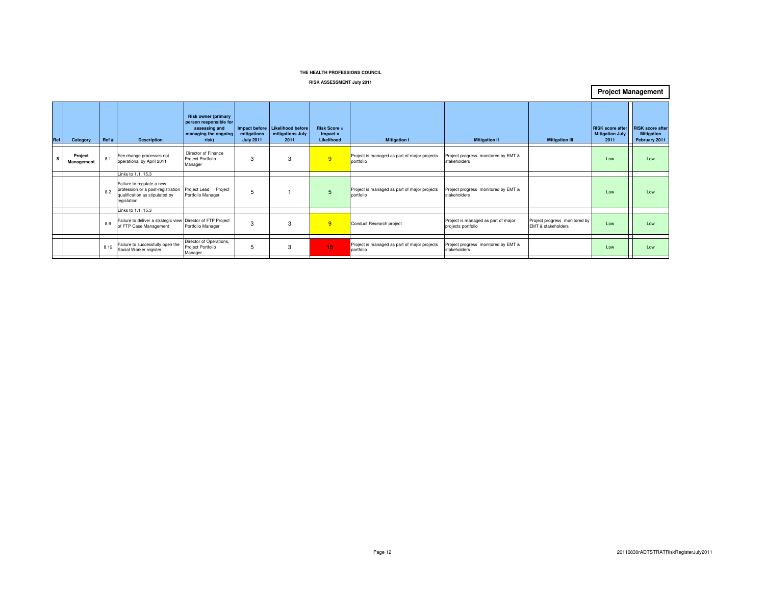**RISK ASSESSMENT July 2011**

| Ref | Category              | Ref # | <b>Description</b>                                                                                              | <b>Risk owner (primary</b><br>person responsible for<br>assessing and<br>managing the ongoing<br>risk) | mitigations<br><b>July 2011</b> | Impact before Likelihood before<br>mitigations July<br>2011 | $Risk Score =$<br>Impact x<br>Likelihood | <b>Mitigation I</b>                                       | <b>Mitigation II</b>                                      | <b>Mitigation III</b>                               | <b>RISK</b> score after<br><b>Mitigation July</b><br>2011 | <b>RISK</b> score after<br><b>Mitigation</b><br>February 2011 |
|-----|-----------------------|-------|-----------------------------------------------------------------------------------------------------------------|--------------------------------------------------------------------------------------------------------|---------------------------------|-------------------------------------------------------------|------------------------------------------|-----------------------------------------------------------|-----------------------------------------------------------|-----------------------------------------------------|-----------------------------------------------------------|---------------------------------------------------------------|
|     | Project<br>Management | 8.1   | Fee change processes not<br>operational by April 2011                                                           | Director of Finance<br>Project Portfolio<br>Manager                                                    | 3                               | 3                                                           | 9                                        | Project is managed as part of major projects<br>portfolio | Project progress monitored by EMT &<br>stakeholders       |                                                     | Low                                                       | Low                                                           |
|     |                       |       | Links to 1.1, 15.3                                                                                              |                                                                                                        |                                 |                                                             |                                          |                                                           |                                                           |                                                     |                                                           |                                                               |
|     |                       | 8.2   | Failure to regulate a new<br>profession or a post-registration<br>qualification as stipulated by<br>legislation | Project<br>Project Lead<br>Portfolio Manager                                                           | 5                               |                                                             | 5                                        | Project is managed as part of major projects<br>portfolio | Project progress monitored by EMT &<br>stakeholders       |                                                     | Low                                                       | Low                                                           |
|     |                       |       | Links to 1.1, 15.3                                                                                              |                                                                                                        |                                 |                                                             |                                          |                                                           |                                                           |                                                     |                                                           |                                                               |
|     |                       | 8.9   | Failure to deliver a strategic view Director of FTP Project<br>of FTP Case Management                           | Portfolio Manager                                                                                      | 3                               | 3                                                           | 9                                        | Conduct Research project                                  | Project is managed as part of major<br>projects portfolio | Project progress monitored by<br>EMT & stakeholders | Low                                                       | Low                                                           |
|     |                       |       |                                                                                                                 |                                                                                                        |                                 |                                                             |                                          |                                                           |                                                           |                                                     |                                                           |                                                               |
|     |                       | 8.12  | Failure to successfully open the<br>Social Worker register                                                      | Director of Operations,<br>Project Portfolio<br>Manager                                                | 5                               | 3                                                           | 15                                       | Project is managed as part of major projects<br>portfolio | Project progress monitored by EMT &<br>stakeholders       |                                                     | Low                                                       | Low                                                           |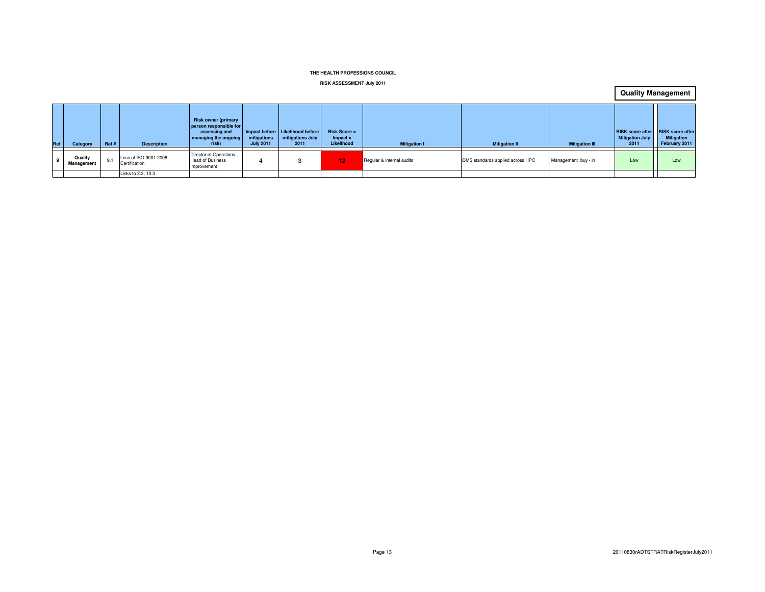#### **RISK ASSESSMENT July 2011**

**Quality Management**

| Ref | Category              | Ref# | <b>Description</b>                     | <b>Risk owner (primary</b><br>person responsible for<br>assessing and<br>managing the ongoing<br>risk) | mitigations<br><b>July 2011</b> | Impact before Likelihood before<br>mitigations July<br>2011 | $Risk Score =$<br>Impact x<br>Likelihood | <b>Mitigation I</b>       | <b>Mitigation II</b>             | <b>Mitigation III</b> | RISK score after<br><b>Mitigation July</b><br>2011 | <b>RISK score after</b><br><b>Mitigation</b><br>February 2011 |
|-----|-----------------------|------|----------------------------------------|--------------------------------------------------------------------------------------------------------|---------------------------------|-------------------------------------------------------------|------------------------------------------|---------------------------|----------------------------------|-----------------------|----------------------------------------------------|---------------------------------------------------------------|
|     | Quality<br>Management |      | Loss of ISO 9001:2008<br>Certification | Director of Operations,<br><b>Head of Business</b><br>Improvement                                      |                                 |                                                             | $\overline{2}$                           | Regular & internal audits | QMS standards applied across HPC | Management buy - in   | Low                                                | Low                                                           |
|     |                       |      | Links to 2.3, 10.3                     |                                                                                                        |                                 |                                                             |                                          |                           |                                  |                       |                                                    |                                                               |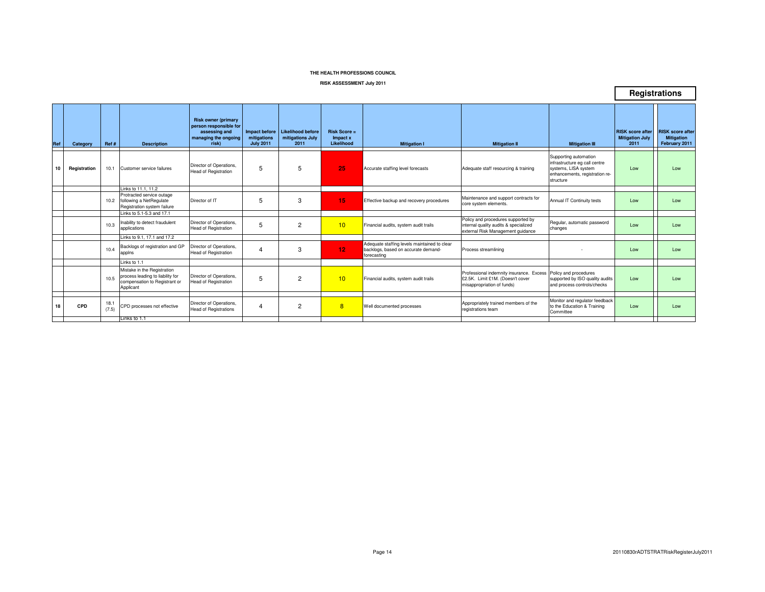#### **RISK ASSESSMENT July 2011**

| <b>Risk owner (primary</b><br>person responsible for<br>Impact before<br><b>Likelihood before</b><br><b>RISK</b> score after<br>assessing and<br>$Risk Score =$<br><b>RISK</b> score after<br>mitigations July<br>managing the ongoing<br>mitigations<br><b>Mitigation July</b><br><b>Mitigation</b><br>Impact x<br>Likelihood<br><b>July 2011</b><br>2011<br>risk)<br>2011<br>February 2011<br>Ref#<br><b>Description</b><br><b>Mitigation I</b><br><b>Mitigation II</b><br><b>Mitigation III</b><br>Category<br>Supporting automation<br>infrastructure eg call centre<br>Director of Operations.<br>5<br>5<br>25<br>10<br>Registration<br>Customer service failures<br>Accurate staffing level forecasts<br>systems, LISA system<br>10.1<br>Adequate staff resourcing & training<br>Low<br>Low<br><b>Head of Registration</b><br>enhancements, registration re-<br>structure<br>Links to 11.1.11.2<br>Protracted service outage<br>Maintenance and support contracts for<br>3<br>5<br>15<br>10.2<br>following a NetRegulate<br>Director of IT<br>Effective backup and recovery procedures<br>Annual IT Continuity tests<br>Low<br>Low<br>core system elements.<br>Registration system failure<br>Links to 5.1-5.3 and 17.1<br>Policy and procedures supported by<br>Director of Operations.<br>Inability to detect fraudulent<br>Regular, automatic password<br>5<br>$\overline{2}$<br>10<br>10.3<br>Financial audits, system audit trails<br>internal quality audits & specialized<br>Low<br>Low<br><b>Head of Registration</b><br>applications<br>changes<br>external Risk Management guidance<br>Links to 9.1, 17.1 and 17.2<br>Adequate staffing levels maintained to clear<br>Backlogs of registration and GP<br>Director of Operations.<br>12 <sub>12</sub><br>10.4<br>3<br>$\overline{4}$<br>backlogs, based on accurate demand-<br>Process streamlining<br>Low<br>Low<br><b>Head of Registration</b><br>appins<br>forecasting<br>Links to 1.1<br>Mistake in the Registration<br>Professional indemnity insurance. Excess<br>Policy and procedures<br>process leading to liability for<br>Director of Operations,<br>10.5<br>5<br>$\overline{2}$<br>10<br>Low<br>Financial audits, system audit trails<br>£2.5K. Limit £1M. (Doesn't cover<br>supported by ISO quality audits<br>Low<br>compensation to Registrant or<br><b>Head of Registration</b><br>misappropriation of funds)<br>and process controls/checks<br>Applicant<br>Monitor and regulator feedback<br>Director of Operations.<br>Appropriately trained members of the<br>18.1<br>18<br>CPD<br>CPD processes not effective<br>$\overline{2}$<br>8<br>to the Education & Training<br>$\overline{4}$<br>Well documented processes<br>Low<br>Low<br>(7.5)<br><b>Head of Registrations</b><br>registrations team<br>Committee<br>Links to 1.1 |     |  |  |  |  |  | Registrations |
|------------------------------------------------------------------------------------------------------------------------------------------------------------------------------------------------------------------------------------------------------------------------------------------------------------------------------------------------------------------------------------------------------------------------------------------------------------------------------------------------------------------------------------------------------------------------------------------------------------------------------------------------------------------------------------------------------------------------------------------------------------------------------------------------------------------------------------------------------------------------------------------------------------------------------------------------------------------------------------------------------------------------------------------------------------------------------------------------------------------------------------------------------------------------------------------------------------------------------------------------------------------------------------------------------------------------------------------------------------------------------------------------------------------------------------------------------------------------------------------------------------------------------------------------------------------------------------------------------------------------------------------------------------------------------------------------------------------------------------------------------------------------------------------------------------------------------------------------------------------------------------------------------------------------------------------------------------------------------------------------------------------------------------------------------------------------------------------------------------------------------------------------------------------------------------------------------------------------------------------------------------------------------------------------------------------------------------------------------------------------------------------------------------------------------------------------------------------------------------------------------------------------------------------------------------------------------------------------------------------------------------------------------------------------------------------------------------------------------------------------------------------------------------------------------------------|-----|--|--|--|--|--|---------------|
|                                                                                                                                                                                                                                                                                                                                                                                                                                                                                                                                                                                                                                                                                                                                                                                                                                                                                                                                                                                                                                                                                                                                                                                                                                                                                                                                                                                                                                                                                                                                                                                                                                                                                                                                                                                                                                                                                                                                                                                                                                                                                                                                                                                                                                                                                                                                                                                                                                                                                                                                                                                                                                                                                                                                                                                                                  | Ref |  |  |  |  |  |               |
|                                                                                                                                                                                                                                                                                                                                                                                                                                                                                                                                                                                                                                                                                                                                                                                                                                                                                                                                                                                                                                                                                                                                                                                                                                                                                                                                                                                                                                                                                                                                                                                                                                                                                                                                                                                                                                                                                                                                                                                                                                                                                                                                                                                                                                                                                                                                                                                                                                                                                                                                                                                                                                                                                                                                                                                                                  |     |  |  |  |  |  |               |
|                                                                                                                                                                                                                                                                                                                                                                                                                                                                                                                                                                                                                                                                                                                                                                                                                                                                                                                                                                                                                                                                                                                                                                                                                                                                                                                                                                                                                                                                                                                                                                                                                                                                                                                                                                                                                                                                                                                                                                                                                                                                                                                                                                                                                                                                                                                                                                                                                                                                                                                                                                                                                                                                                                                                                                                                                  |     |  |  |  |  |  |               |
|                                                                                                                                                                                                                                                                                                                                                                                                                                                                                                                                                                                                                                                                                                                                                                                                                                                                                                                                                                                                                                                                                                                                                                                                                                                                                                                                                                                                                                                                                                                                                                                                                                                                                                                                                                                                                                                                                                                                                                                                                                                                                                                                                                                                                                                                                                                                                                                                                                                                                                                                                                                                                                                                                                                                                                                                                  |     |  |  |  |  |  |               |
|                                                                                                                                                                                                                                                                                                                                                                                                                                                                                                                                                                                                                                                                                                                                                                                                                                                                                                                                                                                                                                                                                                                                                                                                                                                                                                                                                                                                                                                                                                                                                                                                                                                                                                                                                                                                                                                                                                                                                                                                                                                                                                                                                                                                                                                                                                                                                                                                                                                                                                                                                                                                                                                                                                                                                                                                                  |     |  |  |  |  |  |               |
|                                                                                                                                                                                                                                                                                                                                                                                                                                                                                                                                                                                                                                                                                                                                                                                                                                                                                                                                                                                                                                                                                                                                                                                                                                                                                                                                                                                                                                                                                                                                                                                                                                                                                                                                                                                                                                                                                                                                                                                                                                                                                                                                                                                                                                                                                                                                                                                                                                                                                                                                                                                                                                                                                                                                                                                                                  |     |  |  |  |  |  |               |
|                                                                                                                                                                                                                                                                                                                                                                                                                                                                                                                                                                                                                                                                                                                                                                                                                                                                                                                                                                                                                                                                                                                                                                                                                                                                                                                                                                                                                                                                                                                                                                                                                                                                                                                                                                                                                                                                                                                                                                                                                                                                                                                                                                                                                                                                                                                                                                                                                                                                                                                                                                                                                                                                                                                                                                                                                  |     |  |  |  |  |  |               |
|                                                                                                                                                                                                                                                                                                                                                                                                                                                                                                                                                                                                                                                                                                                                                                                                                                                                                                                                                                                                                                                                                                                                                                                                                                                                                                                                                                                                                                                                                                                                                                                                                                                                                                                                                                                                                                                                                                                                                                                                                                                                                                                                                                                                                                                                                                                                                                                                                                                                                                                                                                                                                                                                                                                                                                                                                  |     |  |  |  |  |  |               |
|                                                                                                                                                                                                                                                                                                                                                                                                                                                                                                                                                                                                                                                                                                                                                                                                                                                                                                                                                                                                                                                                                                                                                                                                                                                                                                                                                                                                                                                                                                                                                                                                                                                                                                                                                                                                                                                                                                                                                                                                                                                                                                                                                                                                                                                                                                                                                                                                                                                                                                                                                                                                                                                                                                                                                                                                                  |     |  |  |  |  |  |               |
|                                                                                                                                                                                                                                                                                                                                                                                                                                                                                                                                                                                                                                                                                                                                                                                                                                                                                                                                                                                                                                                                                                                                                                                                                                                                                                                                                                                                                                                                                                                                                                                                                                                                                                                                                                                                                                                                                                                                                                                                                                                                                                                                                                                                                                                                                                                                                                                                                                                                                                                                                                                                                                                                                                                                                                                                                  |     |  |  |  |  |  |               |
|                                                                                                                                                                                                                                                                                                                                                                                                                                                                                                                                                                                                                                                                                                                                                                                                                                                                                                                                                                                                                                                                                                                                                                                                                                                                                                                                                                                                                                                                                                                                                                                                                                                                                                                                                                                                                                                                                                                                                                                                                                                                                                                                                                                                                                                                                                                                                                                                                                                                                                                                                                                                                                                                                                                                                                                                                  |     |  |  |  |  |  |               |
|                                                                                                                                                                                                                                                                                                                                                                                                                                                                                                                                                                                                                                                                                                                                                                                                                                                                                                                                                                                                                                                                                                                                                                                                                                                                                                                                                                                                                                                                                                                                                                                                                                                                                                                                                                                                                                                                                                                                                                                                                                                                                                                                                                                                                                                                                                                                                                                                                                                                                                                                                                                                                                                                                                                                                                                                                  |     |  |  |  |  |  |               |
|                                                                                                                                                                                                                                                                                                                                                                                                                                                                                                                                                                                                                                                                                                                                                                                                                                                                                                                                                                                                                                                                                                                                                                                                                                                                                                                                                                                                                                                                                                                                                                                                                                                                                                                                                                                                                                                                                                                                                                                                                                                                                                                                                                                                                                                                                                                                                                                                                                                                                                                                                                                                                                                                                                                                                                                                                  |     |  |  |  |  |  |               |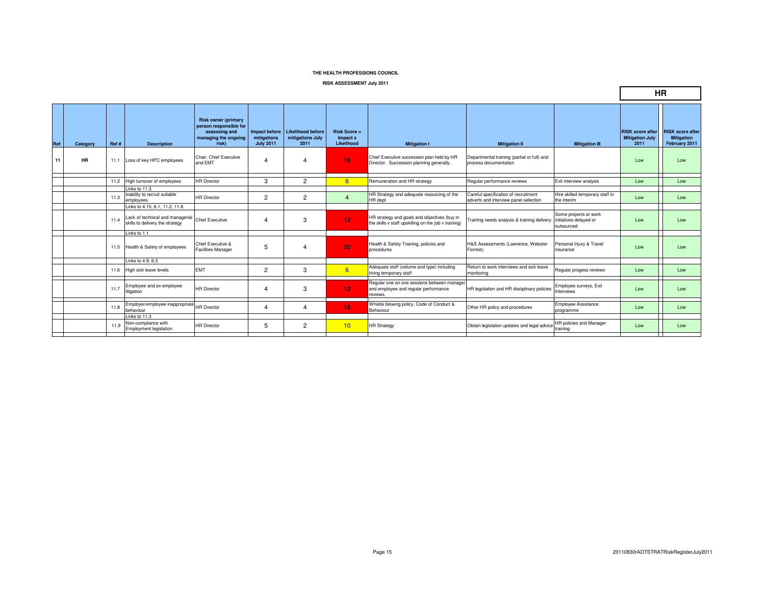#### **RISK ASSESSMENT July 2011**

|            |           |      |                                                                     |                                                                                                        |                                 |                                                             |                                          |                                                                                                      |                                                                               |                                                |                                                           | <b>HR</b>                                                     |
|------------|-----------|------|---------------------------------------------------------------------|--------------------------------------------------------------------------------------------------------|---------------------------------|-------------------------------------------------------------|------------------------------------------|------------------------------------------------------------------------------------------------------|-------------------------------------------------------------------------------|------------------------------------------------|-----------------------------------------------------------|---------------------------------------------------------------|
| <b>Ref</b> | Category  | Ref# | <b>Description</b>                                                  | <b>Risk owner (primary</b><br>person responsible for<br>assessing and<br>managing the ongoing<br>risk) | mitigations<br><b>July 2011</b> | Impact before Likelihood before<br>mitigations July<br>2011 | $Risk Score =$<br>Impact x<br>Likelihood | <b>Mitigation I</b>                                                                                  | <b>Mitigation II</b>                                                          | <b>Mitigation III</b>                          | <b>RISK score after</b><br><b>Mitigation July</b><br>2011 | <b>RISK score after</b><br><b>Mitigation</b><br>February 2011 |
| 11         | <b>HR</b> | 11.1 | Loss of key HPC employees                                           | Chair, Chief Executive<br>and EMT                                                                      | 4                               | 4                                                           | 16                                       | Chief Executive succession plan held by HR<br>Director. Succession planning generally.               | Departmental training (partial or full) and<br>process documentation          |                                                | Low                                                       | Low                                                           |
|            |           | 11.2 | High turnover of employees                                          | <b>HR Director</b>                                                                                     | 3                               | $\overline{2}$                                              | 6                                        | Remuneration and HR strategy                                                                         | Regular performance reviews                                                   | Exit interview analysis                        | Low                                                       | Low                                                           |
|            |           |      | Links to 11.3                                                       |                                                                                                        |                                 |                                                             |                                          |                                                                                                      |                                                                               |                                                |                                                           |                                                               |
|            |           | 11.3 | Inability to recruit suitable<br>employees                          | <b>HR Director</b>                                                                                     | $\overline{2}$                  | $\overline{2}$                                              | $\overline{4}$                           | HR Strategy and adequate resourcing of the<br>HR dept                                                | Careful specification of recruitment<br>adverts and interview panel selection | Hire skilled temporary staff in<br>the interim | Low                                                       | Low                                                           |
|            |           |      | Links to 4.10, 6.1, 11.2, 11.8                                      |                                                                                                        |                                 |                                                             |                                          |                                                                                                      |                                                                               |                                                |                                                           |                                                               |
|            |           | 11.4 | Lack of technical and managerial<br>skills to delivery the strategy | <b>Chief Executive</b>                                                                                 | $\overline{4}$                  | 3                                                           | 12 <sub>1</sub>                          | HR strategy and goals and objectives (buy in<br>the skills v staff upskilling on the job v training) | Training needs analysis & training delivery. initiatives delayed or           | Some projects or work<br>outsourced            | Low                                                       | Low                                                           |
|            |           |      | Links to 1.1                                                        |                                                                                                        |                                 |                                                             |                                          |                                                                                                      |                                                                               |                                                |                                                           |                                                               |
|            |           |      | 11.5 Health & Safety of employees                                   | Chief Executive &<br><b>Facilities Manager</b>                                                         | 5                               | $\overline{4}$                                              | 20                                       | Health & Safety Training, policies and<br>procedures                                                 | H&S Assessments (Lawrence, Webster<br>Forrest).                               | Personal Injury & Travel<br>insurance          | Low                                                       | Low                                                           |
|            |           |      | Links to 4.9, 6.3                                                   |                                                                                                        |                                 |                                                             |                                          |                                                                                                      |                                                                               |                                                |                                                           |                                                               |
|            |           |      | 11.6 High sick leave levels                                         | EMT                                                                                                    | 2                               | 3                                                           | 6                                        | Adequate staff (volume and type) including<br>hiring temporary staff                                 | Return to work interviews and sick leave<br>monitorina                        | Regular progess reviews                        | Low                                                       | Low                                                           |
|            |           | 11.7 | Employee and ex-employee<br>litigation                              | <b>HR Director</b>                                                                                     | $\overline{4}$                  | 3                                                           | 12 <sub>1</sub>                          | Regular one on one sessions between manager<br>and employee and regular performance<br>reviews.      | HR legislation and HR disciplinary policies                                   | Employee surveys, Exit<br>Interviews           | Low                                                       | Low                                                           |
|            |           | 11.8 | Employer/employee inappropriate HR Director<br>behaviour            |                                                                                                        | 4                               | 4                                                           | 16                                       | Whistle blowing policy, Code of Conduct &<br>Behaviour                                               | Other HR policy and procedures                                                | <b>Employee Assistance</b><br>programme        | Low                                                       | Low                                                           |
|            |           |      | Links to 11.3                                                       |                                                                                                        |                                 |                                                             |                                          |                                                                                                      |                                                                               |                                                |                                                           |                                                               |
|            |           | 11.9 | Non-compliance with<br>Employment legislation                       | <b>HR Director</b>                                                                                     | 5                               | $\overline{2}$                                              | 10                                       | <b>HR Strategy</b>                                                                                   | Obtain legislation updates and legal advice                                   | HR policies and Manager<br>training            | Low                                                       | Low                                                           |
|            |           |      |                                                                     |                                                                                                        |                                 |                                                             |                                          |                                                                                                      |                                                                               |                                                |                                                           |                                                               |

 $\mathcal{A}$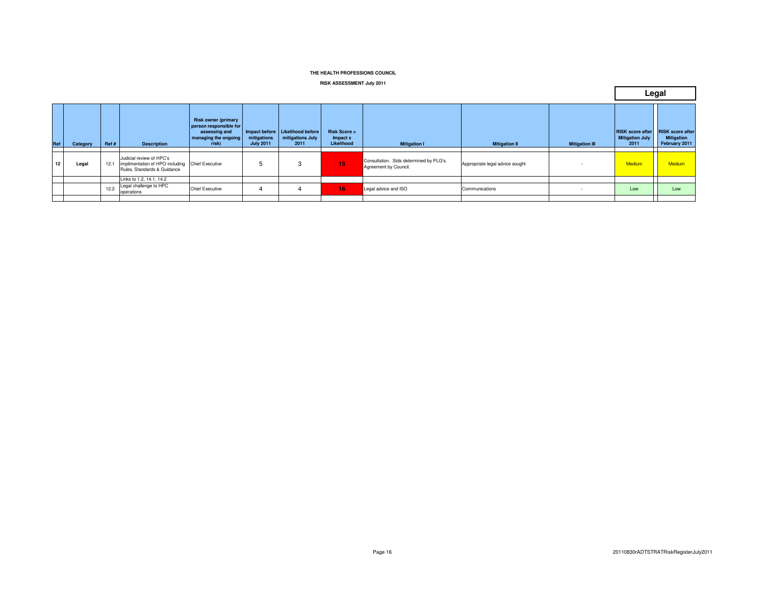#### **RISK ASSESSMENT July 2011**

|          |      |                    |                                                                                                                             |                                                                                                   |                                         |                                          |                                                                  |                                 |                          |        | Legal                                                                     |
|----------|------|--------------------|-----------------------------------------------------------------------------------------------------------------------------|---------------------------------------------------------------------------------------------------|-----------------------------------------|------------------------------------------|------------------------------------------------------------------|---------------------------------|--------------------------|--------|---------------------------------------------------------------------------|
| Category |      | <b>Description</b> | <b>Risk owner (primary</b><br>assessing and<br>risk)                                                                        | mitigations<br><b>July 2011</b>                                                                   | mitigations July<br>2011                | $Risk Score =$<br>Impact x<br>Likelihood | <b>Mitigation I</b>                                              | <b>Mitigation II</b>            | <b>Mitigation III</b>    | 2011   | <b>Mitigation</b><br>February 2011                                        |
| Legal    | 12.1 |                    |                                                                                                                             | 5                                                                                                 | 3                                       | 15                                       | Consultation. Stds determined by PLG's.<br>Agreement by Council. | Appropriate legal advice sought | $\overline{\phantom{a}}$ | Medium | <b>Medium</b>                                                             |
|          |      |                    |                                                                                                                             |                                                                                                   |                                         |                                          |                                                                  |                                 |                          |        |                                                                           |
|          |      |                    |                                                                                                                             | 4                                                                                                 |                                         |                                          |                                                                  |                                 | $\sim$                   |        | Low                                                                       |
|          |      | Ref#<br>12.2       | Judicial review of HPC's<br>Rules, Standards & Guidance<br>Links to 1.2, 14.1, 14.2<br>Legal challenge to HPC<br>operations | managing the ongoing<br>implimentation of HPO including Chief Executive<br><b>Chief Executive</b> | person responsible for<br>Impact before | <b>Likelihood before</b>                 | 16                                                               | Legal advice and ISO            | Communications           |        | <b>RISK score after RISK score after</b><br><b>Mitigation July</b><br>Low |

 $\blacksquare$ 

٦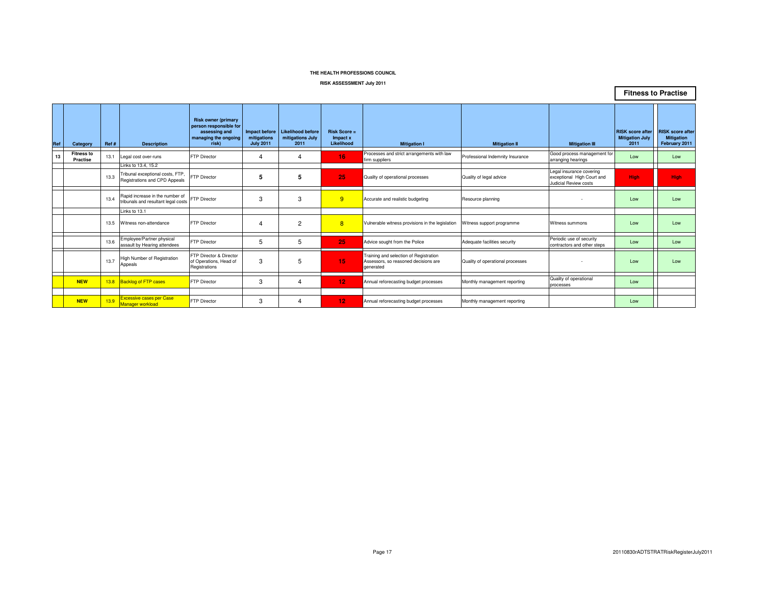#### **RISK ASSESSMENT July 2011**

13.8 Backlog of FTP cases FTP Director 3 4 4 12 Annual reforecasting budget processes Monthly management reporting

 $Ref$  **Category Ref #** 

**Fitness to Practise**

**NEW**

**NEW**

13.9 Excessive cases per Case

**13**

|      |                                                                        |                                                                                                        |                                                  |                                               |                                               |                                                                                             |                                  |                                                                                 | <b>FILIESS IO FIACUSE</b>                                 |                                                               |
|------|------------------------------------------------------------------------|--------------------------------------------------------------------------------------------------------|--------------------------------------------------|-----------------------------------------------|-----------------------------------------------|---------------------------------------------------------------------------------------------|----------------------------------|---------------------------------------------------------------------------------|-----------------------------------------------------------|---------------------------------------------------------------|
| Ref# | <b>Description</b>                                                     | <b>Risk owner (primary</b><br>person responsible for<br>assessing and<br>managing the ongoing<br>risk) | Impact before<br>mitigations<br><b>July 2011</b> | Likelihood before<br>mitigations July<br>2011 | <b>Risk Score =</b><br>Impact x<br>Likelihood | <b>Mitigation I</b>                                                                         | <b>Mitigation II</b>             | <b>Mitigation III</b>                                                           | <b>RISK</b> score after<br><b>Mitigation July</b><br>2011 | <b>RISK score after</b><br><b>Mitigation</b><br>February 2011 |
| 13.1 | Legal cost over-runs                                                   | <b>FTP Director</b>                                                                                    | 4                                                |                                               | 16                                            | Processes and strict arrangements with law<br>firm suppliers                                | Professional Indemnity Insurance | Good process management for<br>arranging hearings                               | Low                                                       | Low                                                           |
|      | Links to 13.4, 15.2                                                    |                                                                                                        |                                                  |                                               |                                               |                                                                                             |                                  |                                                                                 |                                                           |                                                               |
| 13.3 | Tribunal exceptional costs, FTP,<br>Registrations and CPD Appeals      | FTP Director                                                                                           | 5                                                |                                               | 25                                            | Quality of operational processes                                                            | Quality of legal advice          | Legal insurance covering<br>exceptional High Court and<br>Judicial Review costs | <b>High</b>                                               | <b>High</b>                                                   |
| 13.4 | Rapid increase in the number of<br>tribunals and resultant legal costs | FTP Director                                                                                           | 3                                                | 3                                             | 9                                             | Accurate and realistic budgeting                                                            | Resource planning                |                                                                                 | Low                                                       | Low                                                           |
|      | Links to 13.1                                                          |                                                                                                        |                                                  |                                               |                                               |                                                                                             |                                  |                                                                                 |                                                           |                                                               |
| 13.5 | Witness non-attendance                                                 | <b>FTP Director</b>                                                                                    |                                                  | 2                                             | 8                                             | Vulnerable witness provisions in the legislation                                            | Witness support programme        | Witness summons                                                                 | Low                                                       | Low                                                           |
| 13.6 | Employee/Partner physical<br>assault by Hearing attendees              | FTP Director                                                                                           | 5                                                | b                                             | 25                                            | Advice sought from the Police                                                               | Adequate facilities security     | Periodic use of security<br>contractors and other steps                         | Low                                                       | Low                                                           |
| 13.7 | High Number of Registration<br>Appeals                                 | FTP Director & Director<br>of Operations, Head of<br>Registrations                                     | 3                                                | 5                                             | 15                                            | Training and selection of Registration<br>Assessors, so reasoned decisions are<br>generated | Quality of operational processes |                                                                                 | Low                                                       | Low                                                           |

**12** Annual reformers and the setting of the setting budget processes Monthly management reporting Low Low Low

**Fitness to Practise** 

Quality of operational **COVID-1999**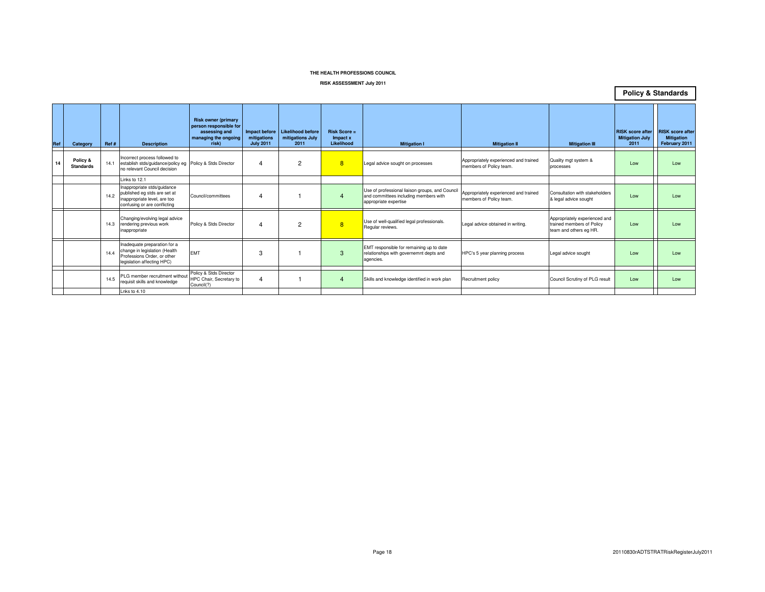#### **RISK ASSESSMENT July 2011**

**Policy & Standards**

| Ref | Category                     | Ref# | <b>Description</b>                                                                                                          | <b>Risk owner (primary</b><br>person responsible for<br>assessing and<br>managing the ongoing<br>risk) | mitigations<br><b>July 2011</b> | Impact before   Likelihood before<br>mitigations July<br>2011 | <b>Risk Score =</b><br>Impact x<br>Likelihood | <b>Mitigation I</b>                                                                                               | <b>Mitigation II</b>                                             | <b>Mitigation III</b>                                                                | <b>RISK score after</b><br><b>Mitigation July</b><br>2011 | <b>RISK</b> score after<br><b>Mitigation</b><br>February 2011 |
|-----|------------------------------|------|-----------------------------------------------------------------------------------------------------------------------------|--------------------------------------------------------------------------------------------------------|---------------------------------|---------------------------------------------------------------|-----------------------------------------------|-------------------------------------------------------------------------------------------------------------------|------------------------------------------------------------------|--------------------------------------------------------------------------------------|-----------------------------------------------------------|---------------------------------------------------------------|
| 14  | Policy &<br><b>Standards</b> | 14.1 | Incorrect process followed to<br>establish stds/guidance/policy eg Policy & Stds Director<br>no relevant Council decision   |                                                                                                        | 4                               | $\overline{2}$                                                | 8                                             | Legal advice sought on processes                                                                                  | Appropriately experienced and trained<br>members of Policy team. | Quality mgt system &<br>processes                                                    | Low                                                       | Low                                                           |
|     |                              |      | Links to 12.1                                                                                                               |                                                                                                        |                                 |                                                               |                                               |                                                                                                                   |                                                                  |                                                                                      |                                                           |                                                               |
|     |                              | 14.2 | Inappropriate stds/guidance<br>oublished eg stds are set at<br>inappropriate level, are too<br>confusing or are conflicting | Council/committees                                                                                     | 4                               |                                                               |                                               | Use of professional liaison groups, and Council<br>and committees including members with<br>appropriate expertise | Appropriately experienced and trained<br>members of Policy team. | Consultation with stakeholders<br>& legal advice sought                              | Low                                                       | Low                                                           |
|     |                              | 14.3 | Changing/evolving legal advice<br>rendering previous work<br>inappropriate                                                  | Policy & Stds Director                                                                                 | 4                               | $\overline{2}$                                                | 8                                             | Use of well-qualified legal professionals.<br>Regular reviews.                                                    | Legal advice obtained in writing.                                | Appropriately experienced and<br>trained members of Policy<br>team and others eg HR. | Low                                                       | Low                                                           |
|     |                              | 14.4 | Inadequate preparation for a<br>change in legislation (Health<br>Professions Order, or other<br>legislation affecting HPC)  | <b>EMT</b>                                                                                             | З                               |                                                               | R                                             | EMT responsible for remaining up to date<br>relationships with governemnt depts and<br>agencies.                  | HPC's 5 year planning process                                    | Legal advice sought                                                                  | Low                                                       | Low                                                           |
|     |                              | 14.5 | PLG member recruitment without<br>requisit skills and knowledge                                                             | Policy & Stds Director<br>HPC Chair, Secretary to<br>Council(?)                                        | 4                               |                                                               |                                               | Skills and knowledge identified in work plan                                                                      | Recruitment policy                                               | Council Scrutiny of PLG result                                                       | Low                                                       | Low                                                           |
|     |                              |      | Lnks to 4.10                                                                                                                |                                                                                                        |                                 |                                                               |                                               |                                                                                                                   |                                                                  |                                                                                      |                                                           |                                                               |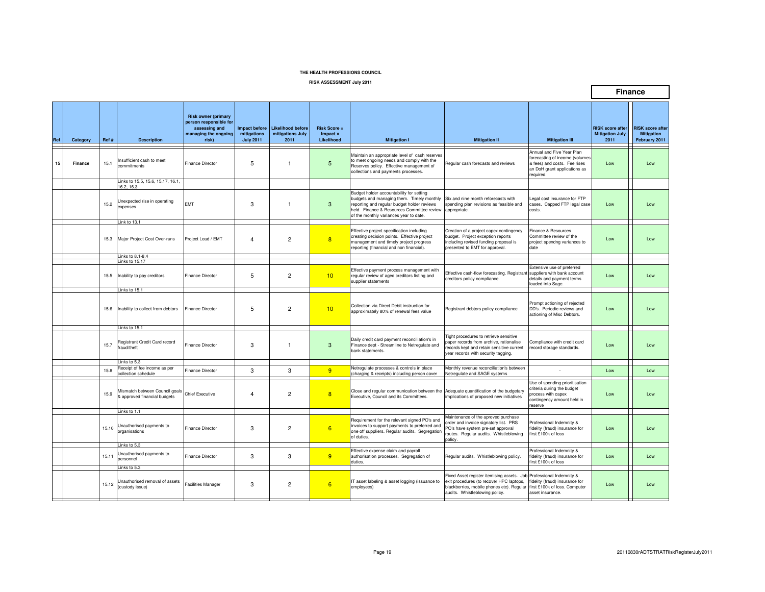**RISK ASSESSMENT July 2011**

|     |          |       |                                                                |                                                                                                        |                                                         |                                                      |                                          |                                                                                                                                                                                                                              |                                                                                                                                                                                                                             |                                                                                                                                          |                                                           | <b>Finance</b>                                                |
|-----|----------|-------|----------------------------------------------------------------|--------------------------------------------------------------------------------------------------------|---------------------------------------------------------|------------------------------------------------------|------------------------------------------|------------------------------------------------------------------------------------------------------------------------------------------------------------------------------------------------------------------------------|-----------------------------------------------------------------------------------------------------------------------------------------------------------------------------------------------------------------------------|------------------------------------------------------------------------------------------------------------------------------------------|-----------------------------------------------------------|---------------------------------------------------------------|
| Ref | Category | Ref # | <b>Description</b>                                             | <b>Risk owner (primary</b><br>person responsible for<br>assessing and<br>managing the ongoing<br>risk) | <b>Impact before</b><br>mitigations<br><b>July 2011</b> | <b>Likelihood before</b><br>mitigations July<br>2011 | $Risk Score =$<br>Impact x<br>Likelihood | <b>Mitigation I</b>                                                                                                                                                                                                          | <b>Mitigation II</b>                                                                                                                                                                                                        | <b>Mitigation III</b>                                                                                                                    | <b>RISK score after</b><br><b>Mitigation July</b><br>2011 | <b>RISK score after</b><br><b>Mitigation</b><br>February 2011 |
| 15  | Finance  | 15.1  | nsufficient cash to meet<br>commitments                        | <b>Finance Director</b>                                                                                | 5                                                       | $\overline{1}$                                       | 5                                        | Maintain an appropriate level of cash reserves<br>to meet ongoing needs and comply with the<br>Reserves policy. Effective management of<br>collections and payments processes.                                               | Regular cash forecasts and reviews                                                                                                                                                                                          | Annual and Five Year Plan<br>forecasting of income (volumes<br>& fees) and costs. Fee rises<br>an DoH grant applications as<br>reauired. | Low                                                       | Low                                                           |
|     |          |       | Links to 15.5, 15.6, 15.17, 16.1,<br>6.2, 16.3                 |                                                                                                        |                                                         |                                                      |                                          |                                                                                                                                                                                                                              |                                                                                                                                                                                                                             |                                                                                                                                          |                                                           |                                                               |
|     |          | 15.2  | Unexpected rise in operating<br>expenses                       | <b>EMT</b>                                                                                             | 3                                                       | $\overline{1}$                                       | 3                                        | Budget holder accountability for setting<br>budgets and managing them. Timely monthly<br>reporting and regular budget holder reviews<br>held. Finance & Resources Committee review<br>of the monthly variances year to date. | Six and nine month reforecasts with<br>spending plan revisions as feasible and<br>appropriate.                                                                                                                              | egal cost insurance for FTP<br>cases. Capped FTP legal case<br>costs.                                                                    | Low                                                       | Low                                                           |
|     |          |       | Link to 13.1                                                   |                                                                                                        |                                                         |                                                      |                                          |                                                                                                                                                                                                                              |                                                                                                                                                                                                                             |                                                                                                                                          |                                                           |                                                               |
|     |          |       | 15.3 Major Project Cost Over-runs                              | Project Lead / EMT                                                                                     | $\overline{4}$                                          | $\overline{2}$                                       | 8                                        | Effective project specification including<br>creating decision points. Effective project<br>management and timely project progress<br>reporting (financial and non financial).                                               | Creation of a project capex contingency<br>budget. Project exception reports<br>including revised funding proposal is<br>presented to EMT for approval.                                                                     | Finance & Resources<br>Committee review of the<br>project spendng variances to<br>date                                                   | Low                                                       | Low                                                           |
|     |          |       | Links to 8.1-8.4<br>Links to 15.17                             |                                                                                                        |                                                         |                                                      |                                          |                                                                                                                                                                                                                              |                                                                                                                                                                                                                             |                                                                                                                                          |                                                           |                                                               |
|     |          | 15.5  | Inability to pay creditors                                     | <b>Finance Director</b>                                                                                | 5                                                       | $\overline{2}$                                       | 10                                       | Effective payment process management with<br>regular review of aged creditors listing and<br>supplier statements                                                                                                             | Effective cash-flow forecasting. Registrant suppliers with bank account<br>creditors policy compliance.                                                                                                                     | Extensive use of preferred<br>details and payment terms<br>loaded into Sage.                                                             | Low                                                       | Low                                                           |
|     |          |       | Links to 15.1                                                  |                                                                                                        |                                                         |                                                      |                                          |                                                                                                                                                                                                                              |                                                                                                                                                                                                                             |                                                                                                                                          |                                                           |                                                               |
|     |          | 15.6  | Inability to collect from debtors                              | <b>Finance Director</b>                                                                                | 5                                                       | $\overline{2}$                                       | 10                                       | Collection via Direct Debit instruction for<br>approximately 80% of renewal fees value                                                                                                                                       | Registrant debtors policy compliance                                                                                                                                                                                        | Prompt actioning of rejected<br>DD's. Periodic reviews and<br>actioning of Misc Debtors.                                                 | I ow                                                      | Low                                                           |
|     |          |       | Links to 15.1                                                  |                                                                                                        |                                                         |                                                      |                                          |                                                                                                                                                                                                                              |                                                                                                                                                                                                                             |                                                                                                                                          |                                                           |                                                               |
|     |          | 15.7  | Registrant Credit Card record<br>fraud/theft                   | <b>Finance Director</b>                                                                                | 3                                                       | $\overline{1}$                                       | 3                                        | Daily credit card payment reconciliation's in<br>Finance dept - Streamline to Netregulate and<br>bank statements.                                                                                                            | Tight procedures to retrieve sensitive<br>paper records from archive, rationalise<br>records kept and retain sensitive current<br>year records with security tagging.                                                       | Compliance with credit card<br>record storage standards.                                                                                 | Low                                                       | Low                                                           |
|     |          |       | Links to 5.3<br>Receipt of fee income as per                   |                                                                                                        |                                                         |                                                      |                                          | Netregulate processes & controls in place                                                                                                                                                                                    | Monthly revenue reconciliation's between                                                                                                                                                                                    |                                                                                                                                          |                                                           |                                                               |
|     |          | 15.8  | collection schedule                                            | Finance Director                                                                                       | 3                                                       | 3                                                    | 9                                        | (charging & receipts) including person cover                                                                                                                                                                                 | Netregulate and SAGE systems                                                                                                                                                                                                |                                                                                                                                          | Low                                                       | Low                                                           |
|     |          | 15.9  | Mismatch between Council goals<br>& approved financial budgets | <b>Chief Executive</b>                                                                                 | $\overline{4}$                                          | $\overline{2}$                                       | 8                                        | Close and regular communication between the Adequate quantification of the budgetary<br>Executive, Council and its Committees.                                                                                               | implications of proposed new initiatives                                                                                                                                                                                    | Use of spending prioritisation<br>criteria during the budget<br>process with capex<br>contingency amount held in<br>reserve              | Low                                                       | Low                                                           |
|     |          |       | Links to 1.1                                                   |                                                                                                        |                                                         |                                                      |                                          |                                                                                                                                                                                                                              |                                                                                                                                                                                                                             |                                                                                                                                          |                                                           |                                                               |
|     |          | 15.10 | Unauthorised payments to<br>prganisations                      | <b>Finance Director</b>                                                                                | 3                                                       | $\overline{2}$                                       | 6                                        | Requirement for the relevant signed PO's and<br>invoices to support payments to preferred and<br>one off suppliers. Regular audits. Segregation<br>of duties.                                                                | Maintenance of the aproved purchase<br>order and invoice signatory list. PRS<br>PO's have system pre-set approval<br>routes. Regular audits. Whistleblowing<br>policy.                                                      | Professional Indemnity &<br>fidelity (fraud) insurance for<br>first £100k of loss                                                        | Low                                                       | Low                                                           |
|     |          |       | Links to 5.3                                                   |                                                                                                        |                                                         |                                                      |                                          |                                                                                                                                                                                                                              |                                                                                                                                                                                                                             |                                                                                                                                          |                                                           |                                                               |
|     |          | 15.11 | Unauthorised payments to<br>personnel<br>Links to 5.3          | <b>Finance Director</b>                                                                                | 3                                                       | 3                                                    | 9                                        | Effective expense claim and payroll<br>authorisation processes. Segregation of<br>duties.                                                                                                                                    | Regular audits. Whistleblowing policy.                                                                                                                                                                                      | Professional Indemnity &<br>fidelity (fraud) insurance for<br>lirst £100k of loss                                                        | Low                                                       | Low                                                           |
|     |          | 15.12 | Unauthorised removal of assets<br>(custody issue)              | Facilities Manager                                                                                     | 3                                                       | $\overline{2}$                                       | 6                                        | IT asset labeling & asset logging (issuance to<br>employees)                                                                                                                                                                 | ixed Asset register itemising assets. Job Professional Indemnity &<br>exit procedures (to recover HPC laptops,<br>blackberries, mobile phones etc). Regular first £100k of loss. Computer<br>audits. Whistleblowing policy. | fidelity (fraud) insurance for<br>asset insurance.                                                                                       | Low                                                       | Low                                                           |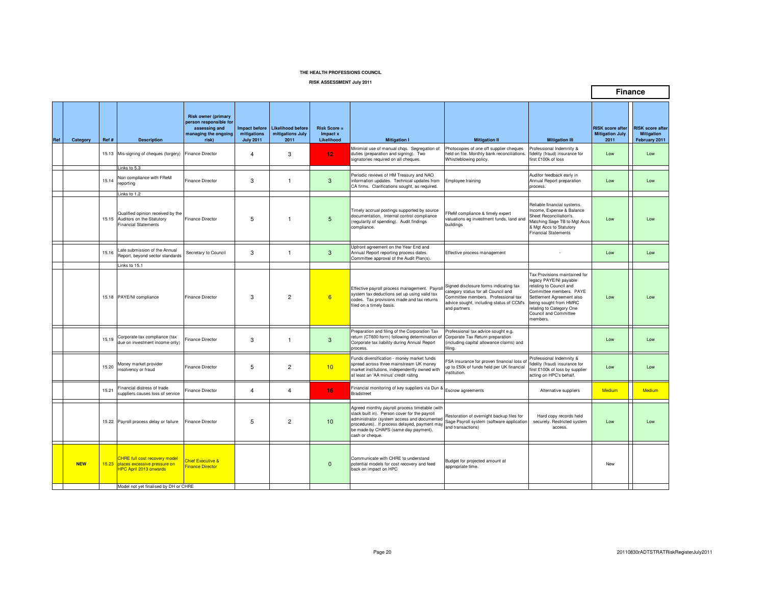**RISK ASSESSMENT July 2011**

|     |            |       |                                                                                                                     |                                                                                                        |                                                         |                                                      |                                          |                                                                                                                                                                                                                                                           |                                                                                                                                                                                  |                                                                                                                                                                                                                                       |                                                           | <b>Finance</b>                                                |
|-----|------------|-------|---------------------------------------------------------------------------------------------------------------------|--------------------------------------------------------------------------------------------------------|---------------------------------------------------------|------------------------------------------------------|------------------------------------------|-----------------------------------------------------------------------------------------------------------------------------------------------------------------------------------------------------------------------------------------------------------|----------------------------------------------------------------------------------------------------------------------------------------------------------------------------------|---------------------------------------------------------------------------------------------------------------------------------------------------------------------------------------------------------------------------------------|-----------------------------------------------------------|---------------------------------------------------------------|
| Ref | Category   | Ref # | <b>Description</b>                                                                                                  | <b>Risk owner (primary</b><br>person responsible for<br>assessing and<br>managing the ongoing<br>risk) | <b>Impact before</b><br>mitigations<br><b>July 2011</b> | <b>Likelihood before</b><br>mitigations July<br>2011 | $Risk Score =$<br>Impact x<br>Likelihood | <b>Mitigation I</b>                                                                                                                                                                                                                                       | <b>Mitigation II</b>                                                                                                                                                             | <b>Mitigation III</b>                                                                                                                                                                                                                 | <b>RISK</b> score after<br><b>Mitigation July</b><br>2011 | <b>RISK score after</b><br><b>Mitigation</b><br>February 2011 |
|     |            |       | 15.13 Mis-signing of cheques (forgery) Finance Director                                                             |                                                                                                        | $\overline{4}$                                          | 3                                                    | 12 <sub>12</sub>                         | Minimial use of manual chqs. Segregation of<br>duties (preparation and signing). Two<br>signatories required on all cheques.                                                                                                                              | Photocopies of one off supplier cheques<br>held on file. Monthly bank reconciliations.<br>Whistleblowing policy.                                                                 | Professional Indemnity &<br>fidelity (fraud) insurance for<br>first £100k of loss                                                                                                                                                     | Low                                                       | Low                                                           |
|     |            | 15.14 | Links to $5.3$<br>Non compliance with FReM<br>eporting                                                              | <b>Finance Director</b>                                                                                | 3                                                       | $\overline{1}$                                       | 3                                        | Periodic reviews of HM Treasury and NAO<br>information updates. Technical updates from<br>CA firms. Clarifications sought, as required.                                                                                                                   | Employee training                                                                                                                                                                | Auditor feedback early in<br>Annual Report preparation<br>process.                                                                                                                                                                    | Low                                                       | Low                                                           |
|     |            |       | Links to 1.2<br>Qualified opinion received by the<br>15.15 Auditors on the Statutory<br><b>Financial Statements</b> | <b>Finance Director</b>                                                                                | 5                                                       | $\overline{1}$                                       | 5                                        | Timely accrual postings supported by source<br>documentation. Internal control compliance<br>(regularity of spending). Audit findings<br>compliance.                                                                                                      | ReM compliance & timely expert<br>valuations eg investment funds, land and<br>buildinas                                                                                          | Reliable financial systems.<br>Income, Expense & Balance<br>Sheet Reconciliation's.<br>Matching Sage TB to Mgt Accs<br>& Mgt Accs to Statutory<br><b>Financial Statements</b>                                                         | Low                                                       | Low                                                           |
|     |            | 15.16 | ate submission of the Annual<br>Report, beyond sector standards<br>Links to 15.1                                    | Secretary to Council                                                                                   | 3                                                       | $\overline{1}$                                       | 3                                        | Upfront agreement on the Year End and<br>Annual Report reporting process dates.<br>Committee approval of the Audit Plan(s).                                                                                                                               | Effective process management                                                                                                                                                     |                                                                                                                                                                                                                                       | Low                                                       | Low                                                           |
|     |            |       | 15.18 PAYE/NI compliance                                                                                            | <b>Finance Director</b>                                                                                | 3                                                       | 2                                                    | 6                                        | Effective payroll process management. Payrol<br>system tax deductions set up using valid tax<br>codes. Tax provisions made and tax returns<br>filed on a timely basis.                                                                                    | Signed disclosure forms indicating tax<br>category status for all Council and<br>Committee members. Professional tax<br>advice sought, including status of CCM's<br>and partners | Tax Provisions maintained for<br>legacy PAYE/NI payable<br>relating to Council and<br>Committee members. PAYE<br>Settlement Agreement also<br>being sought from HMRC<br>relating to Category One<br>Council and Committee<br>members. | Low                                                       | Low                                                           |
|     |            | 15.19 | Corporate tax compliance (tax<br>due on investment income only)                                                     | inance Director                                                                                        | 3                                                       | $\overline{1}$                                       | 3                                        | Preparation and filing of the Corporation Tax<br>return (CT600 form) following determination of<br>Corporate tax liability during Annual Report<br>process.                                                                                               | Professional tax advice sought e.g.<br>Corporate Tax Return preparation<br>(including capital allowance claims) and<br>iling.                                                    |                                                                                                                                                                                                                                       | Low                                                       | Low                                                           |
|     |            | 15.20 | Money market provider<br>nsolvency or fraud                                                                         | <b>Finance Director</b>                                                                                | 5                                                       | $\overline{2}$                                       | 10                                       | Funds diversification - money market funds<br>spread across three mainstream UK money<br>market institutions, independently owned with<br>at least an 'AA minus' credit rating                                                                            | -SA insurance for proven financial loss o<br>up to £50k of funds held per UK financial<br>nstitution.                                                                            | Professional Indemnity &<br>idelity (fraud) insurance for<br>first £100k of loss by supplier<br>acting on HPC's behalf.                                                                                                               | Low                                                       | Low                                                           |
|     |            | 15.21 | Financial distress of trade<br>suppliers causes loss of service                                                     | Finance Director                                                                                       | $\overline{4}$                                          | $\overline{4}$                                       | 16                                       | Financial monitoring of key suppliers via Dun &<br><b>Bradstreet</b>                                                                                                                                                                                      | Escrow agreements                                                                                                                                                                | Alternative suppliers                                                                                                                                                                                                                 | Medium                                                    | Medium                                                        |
|     |            |       | 15.22 Payroll process delay or failure                                                                              | Finance Director                                                                                       | 5                                                       | $\overline{2}$                                       | 10                                       | Agreed monthly payroll process timetable (with<br>slack built in). Person cover for the payroll<br>administrator (system access and documented<br>procedures). If process delayed, payment may<br>be made by CHAPS (same day payment),<br>cash or cheque. | Restoration of overnight backup files for<br>Sage Payroll system (software application<br>and transactions)                                                                      | Hard copy records held<br>securely. Restricted system<br>access.                                                                                                                                                                      | Low                                                       | Low                                                           |
|     | <b>NEW</b> | 15.23 | <b>CHRE full cost recovery model</b><br>places excessive pressure on<br><b>HPC April 2013 onwards</b>               | Chief Executive &<br><b>Finance Director</b>                                                           |                                                         |                                                      | $\mathbf{0}$                             | Communicate with CHRE to understand<br>potential models for cost recovery and feed<br>back on impact on HPC                                                                                                                                               | Budget for projected amount at<br>appropriate time.                                                                                                                              |                                                                                                                                                                                                                                       | New                                                       |                                                               |
|     |            |       | Model not yet finalised by DH or CHRE                                                                               |                                                                                                        |                                                         |                                                      |                                          |                                                                                                                                                                                                                                                           |                                                                                                                                                                                  |                                                                                                                                                                                                                                       |                                                           |                                                               |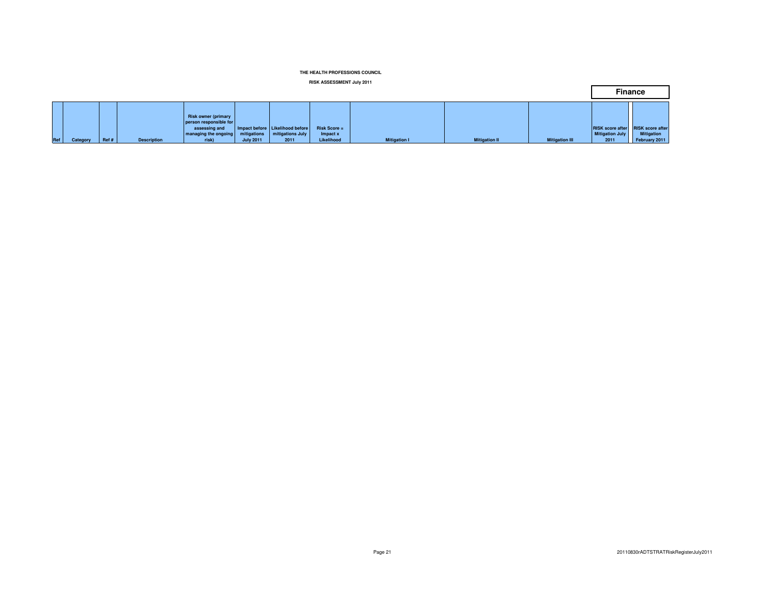#### **RISK ASSESSMENT July 2011**

|     |          |      |                    |                                                                                                        |                                 |                                                             |                                          |                     |                      |                       | <b>Finance</b>                                                             |                                    |
|-----|----------|------|--------------------|--------------------------------------------------------------------------------------------------------|---------------------------------|-------------------------------------------------------------|------------------------------------------|---------------------|----------------------|-----------------------|----------------------------------------------------------------------------|------------------------------------|
| Ref | Category | Ref# | <b>Description</b> | <b>Risk owner (primary</b><br>person responsible for<br>assessing and<br>managing the ongoing<br>risk) | mitigations<br><b>July 2011</b> | Impact before Likelihood before<br>mitigations July<br>2011 | $Risk Score =$<br>Impact x<br>Likelihood | <b>Mitigation I</b> | <b>Mitigation II</b> | <b>Mitigation III</b> | <b>RISK score after RISK score after</b><br><b>Mitigation July</b><br>2011 | <b>Mitigation</b><br>February 2011 |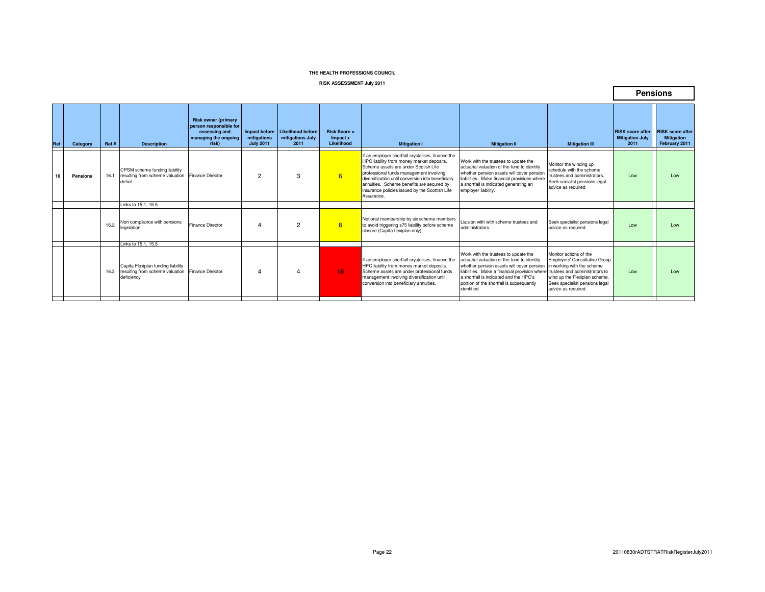#### **RISK ASSESSMENT July 2011**

|     |          |      |                                                                                                           |                                                                                                        |                                                  |                                               |                                               |                                                                                                                                                                                                                                                                                                                                                    |                                                                                                                                                                                                                                                                                        |                                                                                                                                                                                                                          | <b>Pensions</b>                                           |                                                               |
|-----|----------|------|-----------------------------------------------------------------------------------------------------------|--------------------------------------------------------------------------------------------------------|--------------------------------------------------|-----------------------------------------------|-----------------------------------------------|----------------------------------------------------------------------------------------------------------------------------------------------------------------------------------------------------------------------------------------------------------------------------------------------------------------------------------------------------|----------------------------------------------------------------------------------------------------------------------------------------------------------------------------------------------------------------------------------------------------------------------------------------|--------------------------------------------------------------------------------------------------------------------------------------------------------------------------------------------------------------------------|-----------------------------------------------------------|---------------------------------------------------------------|
| Ref | Category | Ref# | <b>Description</b>                                                                                        | <b>Risk owner (primary</b><br>person responsible for<br>assessing and<br>managing the ongoing<br>risk) | Impact before<br>mitigations<br><b>July 2011</b> | Likelihood before<br>mitigations July<br>2011 | <b>Risk Score =</b><br>Impact x<br>Likelihood | <b>Mitigation I</b>                                                                                                                                                                                                                                                                                                                                | <b>Mitigation II</b>                                                                                                                                                                                                                                                                   | <b>Mitigation III</b>                                                                                                                                                                                                    | <b>RISK score after</b><br><b>Mitigation July</b><br>2011 | <b>RISK</b> score after<br><b>Mitigation</b><br>February 2011 |
| 16  | Pensions | 16.1 | CPSM scheme funding liability<br>resulting from scheme valuation<br>deficit                               | Finance Director                                                                                       | $\overline{2}$                                   | 3                                             | 6                                             | f an employer shortfall crystalises, finance the<br>HPC liability from money market deposits.<br>Scheme assets are under Scotish Life<br>professional funds management involving<br>diversification until conversion into beneficiary<br>annuities. Scheme benefits are secured by<br>insurance policies issued by the Scottish Life<br>Assurance. | Work with the trustees to update the<br>actuarial valuation of the fund to identify<br>whether pension assets will cover pension<br>liabilities. Make financial provisions where<br>a shortfall is indicated generating an<br>employer liability.                                      | Monitor the winding up<br>schedule with the scheme<br>trustees and administrators.<br>Seek secialist pensions legal<br>advice as required                                                                                | Low                                                       | Low                                                           |
|     |          |      | Links to 15.1, 15.5                                                                                       |                                                                                                        |                                                  |                                               |                                               |                                                                                                                                                                                                                                                                                                                                                    |                                                                                                                                                                                                                                                                                        |                                                                                                                                                                                                                          |                                                           |                                                               |
|     |          | 16.2 | Non compliance with pensions<br>legislation                                                               | <b>Finance Director</b>                                                                                |                                                  | 2                                             | 8                                             | Notional membership by six scheme members<br>to avoid triggering s75 liability before scheme<br>closure (Capita flexiplan only)                                                                                                                                                                                                                    | Liaision with with scheme trustees and<br>administrators.                                                                                                                                                                                                                              | Seek specialist pensions legal<br>advice as required.                                                                                                                                                                    | Low                                                       | Low                                                           |
|     |          |      | Links to 15.1, 15.5                                                                                       |                                                                                                        |                                                  |                                               |                                               |                                                                                                                                                                                                                                                                                                                                                    |                                                                                                                                                                                                                                                                                        |                                                                                                                                                                                                                          |                                                           |                                                               |
|     |          |      | Capita Flexiplan funding liability<br>16.3 resulting from scheme valuation Finance Director<br>deficiency |                                                                                                        |                                                  |                                               | 16                                            | f an employer shortfall crystalises, finance the<br>HPC liability from money market deposits.<br>Scheme assets are under professional funds<br>management involving diversification until<br>conversion into beneficiary annuities.                                                                                                                | Work with the trustees to update the<br>actuarial valuation of the fund to identify<br>whether pension assets will cover pension<br>liabilities. Make a financial provision where<br>a shortfall is indicated and the HPC's<br>portion of the shortfall is subsequently<br>identified. | Monitor actions of the<br><b>Employers' Consultative Group</b><br>in working with the scheme<br>trustees and administrators to<br>wind up the Flexiplan scheme.<br>Seek specialist pensions legal<br>advice as required. | Low                                                       | Low                                                           |

Г

┑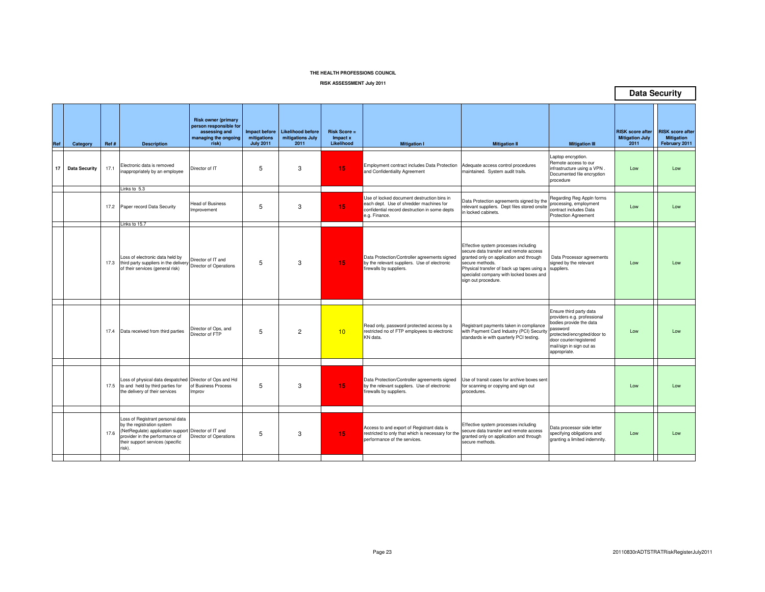**RISK ASSESSMENT July 2011**

|     |                      |      |                                                                                                                                                                                                        |                                                                                                        |                                                         |                                                      |                                               |                                                                                                                                                         |                                                                                                                                                                                                                                                               |                                                                                                                                                                                                     |                                                           | <b>Data Security</b>                                          |
|-----|----------------------|------|--------------------------------------------------------------------------------------------------------------------------------------------------------------------------------------------------------|--------------------------------------------------------------------------------------------------------|---------------------------------------------------------|------------------------------------------------------|-----------------------------------------------|---------------------------------------------------------------------------------------------------------------------------------------------------------|---------------------------------------------------------------------------------------------------------------------------------------------------------------------------------------------------------------------------------------------------------------|-----------------------------------------------------------------------------------------------------------------------------------------------------------------------------------------------------|-----------------------------------------------------------|---------------------------------------------------------------|
| Ref | Category             | Ref# | <b>Description</b>                                                                                                                                                                                     | <b>Risk owner (primary</b><br>person responsible for<br>assessing and<br>managing the ongoing<br>risk) | <b>Impact before</b><br>mitigations<br><b>July 2011</b> | <b>Likelihood before</b><br>mitigations July<br>2011 | <b>Risk Score =</b><br>Impact x<br>Likelihood | <b>Mitigation I</b>                                                                                                                                     | <b>Mitigation II</b>                                                                                                                                                                                                                                          | <b>Mitigation III</b>                                                                                                                                                                               | <b>RISK score after</b><br><b>Mitigation July</b><br>2011 | <b>RISK score after</b><br><b>Mitigation</b><br>February 2011 |
| 17  | <b>Data Security</b> | 17.1 | Electronic data is removed<br>inappropriately by an employee                                                                                                                                           | Director of IT                                                                                         | 5                                                       | 3                                                    | 15                                            | Employment contract includes Data Protection<br>and Confidentiality Agreement                                                                           | Adequate access control procedures<br>maintained. System audit trails.                                                                                                                                                                                        | Laptop encryption.<br>Remote access to our<br>infrastructure using a VPN.<br>Documented file encryption<br>procedure                                                                                | Low                                                       | Low                                                           |
|     |                      |      | Links to 5.3<br>17.2 Paper record Data Security<br>Links to 15.7                                                                                                                                       | <b>Head of Business</b><br>Improvement                                                                 | 5                                                       | 3                                                    | 15                                            | Use of locked document destruction bins in<br>each dept. Use of shredder machines for<br>confidential record destruction in some depts<br>e.g. Finance. | Data Protection agreements signed by the<br>relevant suppliers. Dept files stored onsite<br>in locked cabinets.                                                                                                                                               | Regarding Reg Appln forms<br>processing, employment<br>contract includes Data<br><b>Protection Agreement</b>                                                                                        | Low                                                       | Low                                                           |
|     |                      | 17.3 | Loss of electronic data held by<br>third party suppliers in the delivery Director of Operations<br>of their services (general risk)                                                                    | Director of IT and                                                                                     | 5                                                       | 3                                                    | 15                                            | Data Protection/Controller agreements signed<br>by the relevant suppliers. Use of electronic<br>firewalls by suppliers.                                 | Effective system processes including<br>secure data transfer and remote access<br>granted only on application and through<br>secure methods.<br>Physical transfer of back up tapes using a<br>specialist company with locked boxes and<br>sign out procedure. | Data Processor agreements<br>signed by the relevant<br>suppliers.                                                                                                                                   | Low                                                       | Low                                                           |
|     |                      | 17.4 | Data received from third parties                                                                                                                                                                       | Director of Ops, and<br>Director of FTP                                                                | 5                                                       | $\overline{2}$                                       | 10                                            | Read only, password protected access by a<br>restricted no of FTP employees to electronic<br>KN data.                                                   | Registrant payments taken in compliance<br>with Payment Card Industry (PCI) Security<br>standards ie with quarterly PCI testing.                                                                                                                              | Ensure third party data<br>providers e.g. professional<br>bodies provide the data<br>password<br>protected/encrypted/door to<br>door courier/registered<br>mail/sign in sign out as<br>appropriate. | Low                                                       | Low                                                           |
|     |                      |      | Loss of physical data despatched Director of Ops and Hd<br>17.5 to and held by third parties for<br>the delivery of their services                                                                     | of Business Process<br>Improv                                                                          | 5                                                       | 3                                                    | 15                                            | Data Protection/Controller agreements signed<br>by the relevant suppliers. Use of electronic<br>firewalls by suppliers.                                 | Use of transit cases for archive boxes sent<br>for scanning or copying and sign out<br>procedures.                                                                                                                                                            |                                                                                                                                                                                                     | Low                                                       | Low                                                           |
|     |                      | 17.6 | Loss of Registrant personal data<br>by the registration system<br>(NetRegulate) application support Director of IT and<br>provider in the performance of<br>their support services (specific<br>risk). | Director of Operations                                                                                 | 5                                                       | 3                                                    | 15                                            | Access to and export of Registrant data is<br>restricted to only that which is necessary for the<br>performance of the services.                        | Effective system processes including<br>secure data transfer and remote access<br>granted only on application and through<br>secure methods.                                                                                                                  | Data processor side letter<br>specifying obligations and<br>granting a limited indemnity.                                                                                                           | Low                                                       | Low                                                           |
|     |                      |      |                                                                                                                                                                                                        |                                                                                                        |                                                         |                                                      |                                               |                                                                                                                                                         |                                                                                                                                                                                                                                                               |                                                                                                                                                                                                     |                                                           |                                                               |

 $\overline{\phantom{0}}$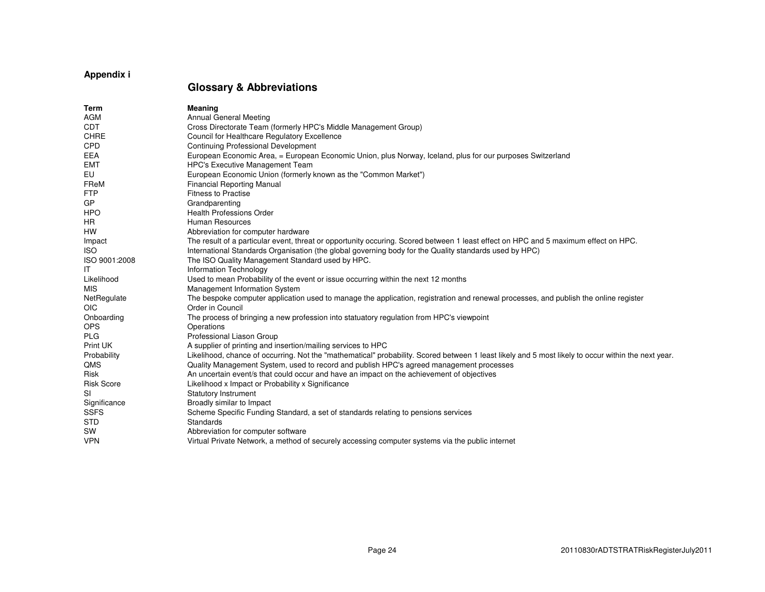# **Appendix i**

# **Glossary & Abbreviations**

| Term              | <b>Meaning</b>                                                                                                                                      |
|-------------------|-----------------------------------------------------------------------------------------------------------------------------------------------------|
| <b>AGM</b>        | <b>Annual General Meeting</b>                                                                                                                       |
| <b>CDT</b>        | Cross Directorate Team (formerly HPC's Middle Management Group)                                                                                     |
| <b>CHRE</b>       | Council for Healthcare Regulatory Excellence                                                                                                        |
| CPD               | Continuing Professional Development                                                                                                                 |
| <b>EEA</b>        | European Economic Area, = European Economic Union, plus Norway, Iceland, plus for our purposes Switzerland                                          |
| <b>EMT</b>        | HPC's Executive Management Team                                                                                                                     |
| EU                | European Economic Union (formerly known as the "Common Market")                                                                                     |
| FReM              | <b>Financial Reporting Manual</b>                                                                                                                   |
| <b>FTP</b>        | <b>Fitness to Practise</b>                                                                                                                          |
| GP                | Grandparenting                                                                                                                                      |
| <b>HPO</b>        | <b>Health Professions Order</b>                                                                                                                     |
| HR.               | <b>Human Resources</b>                                                                                                                              |
| <b>HW</b>         | Abbreviation for computer hardware                                                                                                                  |
| Impact            | The result of a particular event, threat or opportunity occuring. Scored between 1 least effect on HPC and 5 maximum effect on HPC.                 |
| <b>ISO</b>        | International Standards Organisation (the global governing body for the Quality standards used by HPC)                                              |
| ISO 9001:2008     | The ISO Quality Management Standard used by HPC.                                                                                                    |
| IT                | Information Technology                                                                                                                              |
| Likelihood        | Used to mean Probability of the event or issue occurring within the next 12 months                                                                  |
| <b>MIS</b>        | Management Information System                                                                                                                       |
| NetRegulate       | The bespoke computer application used to manage the application, registration and renewal processes, and publish the online register                |
| <b>OIC</b>        | Order in Council                                                                                                                                    |
| Onboarding        | The process of bringing a new profession into statuatory regulation from HPC's viewpoint                                                            |
| <b>OPS</b>        | Operations                                                                                                                                          |
| <b>PLG</b>        | Professional Liason Group                                                                                                                           |
| Print UK          | A supplier of printing and insertion/mailing services to HPC                                                                                        |
| Probability       | Likelihood, chance of occurring. Not the "mathematical" probability. Scored between 1 least likely and 5 most likely to occur within the next year. |
| <b>QMS</b>        | Quality Management System, used to record and publish HPC's agreed management processes                                                             |
| <b>Risk</b>       | An uncertain event/s that could occur and have an impact on the achievement of objectives                                                           |
| <b>Risk Score</b> | Likelihood x Impact or Probability x Significance                                                                                                   |
| <b>SI</b>         | <b>Statutory Instrument</b>                                                                                                                         |
| Significance      | Broadly similar to Impact                                                                                                                           |
| <b>SSFS</b>       | Scheme Specific Funding Standard, a set of standards relating to pensions services                                                                  |
| <b>STD</b>        | Standards                                                                                                                                           |
| <b>SW</b>         | Abbreviation for computer software                                                                                                                  |
| <b>VPN</b>        | Virtual Private Network, a method of securely accessing computer systems via the public internet                                                    |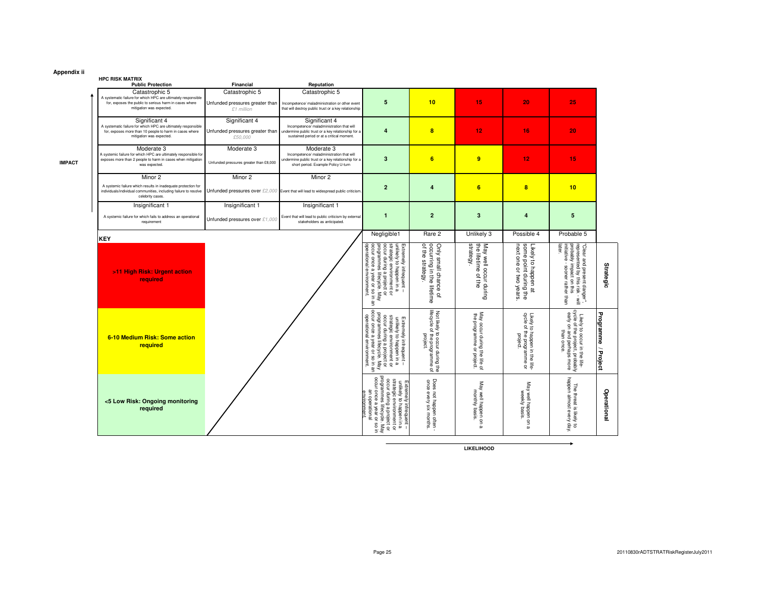#### **Appendix ii**

**IMPACT**

### **HPC RISK MATRIX**

| <b>HPC RISK MAIRIX</b>                                                                                                                                                |                                                                 |                                                                                                                                                               |                                                                                                                                                                                                                           |                                                                                                                             |                                                               |                                                                        |                                                                                                                                        |                     |
|-----------------------------------------------------------------------------------------------------------------------------------------------------------------------|-----------------------------------------------------------------|---------------------------------------------------------------------------------------------------------------------------------------------------------------|---------------------------------------------------------------------------------------------------------------------------------------------------------------------------------------------------------------------------|-----------------------------------------------------------------------------------------------------------------------------|---------------------------------------------------------------|------------------------------------------------------------------------|----------------------------------------------------------------------------------------------------------------------------------------|---------------------|
| <b>Public Protection</b>                                                                                                                                              | Financial                                                       | Reputation                                                                                                                                                    |                                                                                                                                                                                                                           |                                                                                                                             |                                                               |                                                                        |                                                                                                                                        |                     |
| Catastrophic 5<br>A systematic failure for which HPC are ultimately responsible<br>for, exposes the public to serious harm in cases where<br>mitigation was expected. | Catastrophic 5<br>Unfunded pressures greater than<br>£1 million | Catastrophic 5<br>Incompetence/ maladministration or other event<br>that will destroy public trust or a key relationship                                      | 5                                                                                                                                                                                                                         | 10                                                                                                                          | 15                                                            | 20                                                                     | 25                                                                                                                                     |                     |
| Significant 4<br>A systematic failure for which HPC are ultimately responsible<br>for, exposes more than 10 people to harm in cases where<br>mitigation was expected. | Significant 4<br>Unfunded pressures greater than<br>£50,000     | Significant 4<br>Incompetence/ maladministration that will<br>undermine public trust or a key relationship for a<br>sustained period or at a critical moment. | $\overline{4}$                                                                                                                                                                                                            | 8                                                                                                                           | 12                                                            | 16                                                                     | 20                                                                                                                                     |                     |
| Moderate 3<br>A systemic failure for which HPC are ultimately responsible for<br>exposes more than 2 people to harm in cases when mitigation<br>was expected          | Moderate 3<br>Unfunded pressures greater than £8,000            | Moderate 3<br>Incompetence/ maladministration that will<br>indermine public trust or a key relationship for a<br>short period. Example Policy U-turn          | 3                                                                                                                                                                                                                         | 6                                                                                                                           | 9                                                             | 12                                                                     | 15                                                                                                                                     |                     |
| Minor 2<br>A systemic failure which results in inadequate protection for<br>individuals/individual communities, including failure to resolve<br>celebrity cases.      | Minor 2                                                         | Minor 2<br>Unfunded pressures over £2,000 Event that will lead to widespread public criticism.                                                                | $\overline{a}$                                                                                                                                                                                                            | 4                                                                                                                           | 6                                                             | $\overline{\mathbf{8}}$                                                | 10                                                                                                                                     |                     |
| Insignificant 1<br>A systemic failure for which fails to address an operational<br>requirement                                                                        | Insignificant 1<br>Unfunded pressures over £1,000               | Insignificant 1<br>Event that will lead to public criticism by external<br>stakeholders as anticipated.                                                       | $\blacksquare$                                                                                                                                                                                                            | $\overline{2}$                                                                                                              | 3                                                             | $\overline{4}$                                                         | 5                                                                                                                                      |                     |
| KEY                                                                                                                                                                   |                                                                 |                                                                                                                                                               | Negligible1                                                                                                                                                                                                               | Rare 2                                                                                                                      | Unlikely 3                                                    | Possible 4                                                             | Probable 5                                                                                                                             |                     |
| >11 High Risk: Urgent action<br>required                                                                                                                              |                                                                 |                                                                                                                                                               | operational environment.<br>occur during a project or<br>programmes lifecycle. May<br>occur once a year or so in a<br>Extremely infrequent –<br>unlikely to happen in a<br>strategic environment or<br>a year or so in an | of the strategy.<br>occurring in the lifetime<br>Only small chance<br>$\overline{a}$                                        | strategy<br>the lifetime of the<br>May well occur during      | next one or two years<br>some point during the<br>Likely to happen at  | later.<br>"Clear and present danger",<br>represented by this risk - will<br>probably impact on this<br>initiative - sooner rather than | Strategic           |
| 6-10 Medium Risk: Some action<br>required                                                                                                                             |                                                                 |                                                                                                                                                               | Extremely infrequent –<br>strategic environment or<br>strategic environment or<br>strategic environment or<br>corance a yelecove is May<br>logerational environment.<br>logerational environment.                         | lifecycle of the programme<br>Ifecycle of the programme<br>Not likely to occur during the<br>Not likely to occur during the | May occur during the life of<br>the programme<br>or project.  | Likely to happen in the life-<br>cycle of the programme or<br>project. | Likely to occur in the life-<br>cycle of the project, probably<br>early on and perhaps more<br>than once.                              | Programme / Project |
| <5 Low Risk: Ongoing monitoring<br>required                                                                                                                           |                                                                 |                                                                                                                                                               | programmes lifecycle.<br>occur once a year or so<br>Extremely infrequent –<br>unlikely to happen in a<br>strategic environment or<br>occur during a project or<br>an operational<br>environment<br>Nay<br>w               | Does not happen often<br>once every six months                                                                              | May well happen on<br>monthly basis.<br>$\boldsymbol{\omega}$ | May well happen on<br>weekly basis.<br>മ                               | happen almost every day.<br>The threat is likely to                                                                                    | Operational         |
|                                                                                                                                                                       |                                                                 |                                                                                                                                                               |                                                                                                                                                                                                                           |                                                                                                                             |                                                               |                                                                        |                                                                                                                                        |                     |

**LIKELIHOOD**